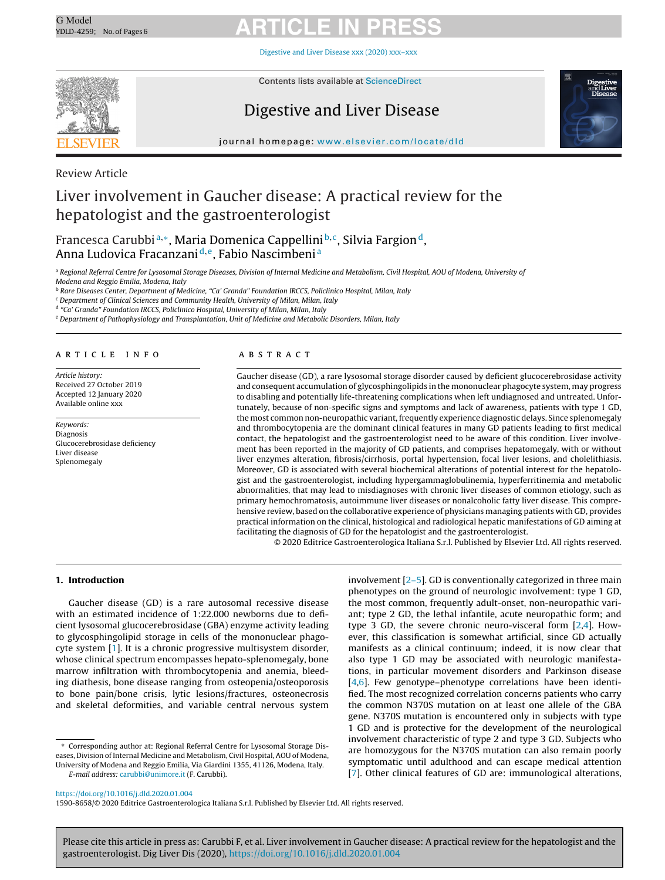[Digestive](https://doi.org/10.1016/j.dld.2020.01.004) and Liver Disease xxx (2020) xxx–xxx



Contents lists available at [ScienceDirect](http://www.sciencedirect.com/science/journal/15908658)

### Digestive and Liver Disease



journal homepage: [www.elsevier.com/locate/dld](http://www.elsevier.com/locate/dld)

### Review Article

### Liver involvement in Gaucher disease: A practical review for the hepatologist and the gastroenterologist

Francesca Carubbi<sup>a,∗</sup>, Maria Domenica Cappellini<sup>b,c</sup>, Silvia Fargion<sup>d</sup>, Anna Ludovica Fracanzani<sup>d, e</sup>, Fabio Nascimbeni<sup>a</sup>

a Regional Referral Centre for Lysosomal Storage Diseases, Division of Internal Medicine and Metabolism, Civil Hospital, AOU of Modena, University of Modena and Reggio Emilia, Modena, Italy

<sup>b</sup> Rare Diseases Center, Department of Medicine, "Ca' Granda" Foundation IRCCS, Policlinico Hospital, Milan, Italy

<sup>c</sup> Department of Clinical Sciences and Community Health, University of Milan, Milan, Italy

<sup>d</sup> "Ca' Granda" Foundation IRCCS, Policlinico Hospital, University of Milan, Milan, Italy

<sup>e</sup> Department of Pathophysiology and Transplantation, Unit of Medicine and Metabolic Disorders, Milan, Italy

#### ARTICLE INFO

Article history: Received 27 October 2019 Accepted 12 January 2020 Available online xxx

Keywords: Diagnosis Glucocerebrosidase deficiency Liver disease Splenomegaly

#### a b s t r a c t

Gaucher disease (GD), a rare lysosomal storage disorder caused by deficient glucocerebrosidase activity and consequent accumulation of glycosphingolipids in the mononuclear phagocyte system, may progress to disabling and potentially life-threatening complications when left undiagnosed and untreated. Unfortunately, because of non-specific signs and symptoms and lack of awareness, patients with type 1 GD, the most common non-neuropathic variant, frequently experience diagnostic delays. Since splenomegaly and thrombocytopenia are the dominant clinical features in many GD patients leading to first medical contact, the hepatologist and the gastroenterologist need to be aware of this condition. Liver involvement has been reported in the majority of GD patients, and comprises hepatomegaly, with or without liver enzymes alteration, fibrosis/cirrhosis, portal hypertension, focal liver lesions, and cholelithiasis. Moreover, GD is associated with several biochemical alterations of potential interest for the hepatologist and the gastroenterologist, including hypergammaglobulinemia, hyperferritinemia and metabolic abnormalities, that may lead to misdiagnoses with chronic liver diseases of common etiology, such as primary hemochromatosis, autoimmune liver diseases or nonalcoholic fatty liver disease. This comprehensive review, based on the collaborative experience of physicians managing patients with GD, provides practical information on the clinical, histological and radiological hepatic manifestations of GD aiming at facilitating the diagnosis of GD for the hepatologist and the gastroenterologist.

© 2020 Editrice Gastroenterologica Italiana S.r.l. Published by Elsevier Ltd. All rights reserved.

#### **1. Introduction**

Gaucher disease (GD) is a rare autosomal recessive disease with an estimated incidence of 1:22.000 newborns due to deficient lysosomal glucocerebrosidase (GBA) enzyme activity leading to glycosphingolipid storage in cells of the mononuclear phagocyte system [\[1\].](#page-4-0) It is a chronic progressive multisystem disorder, whose clinical spectrum encompasses hepato-splenomegaly, bone marrow infiltration with thrombocytopenia and anemia, bleeding diathesis, bone disease ranging from osteopenia/osteoporosis to bone pain/bone crisis, lytic lesions/fractures, osteonecrosis and skeletal deformities, and variable central nervous system

∗ Corresponding author at: Regional Referral Centre for Lysosomal Storage Diseases, Division of Internal Medicine and Metabolism, Civil Hospital, AOU of Modena, University of Modena and Reggio Emilia, Via Giardini 1355, 41126, Modena, Italy. E-mail address: [carubbi@unimore.it](mailto:carubbi@unimore.it) (F. Carubbi).

involvement [\[2–5\].](#page-4-0) GD is conventionally categorized in three main phenotypes on the ground of neurologic involvement: type 1 GD, the most common, frequently adult-onset, non-neuropathic variant; type 2 GD, the lethal infantile, acute neuropathic form; and type 3 GD, the severe chronic neuro-visceral form [[2,4\].](#page-4-0) However, this classification is somewhat artificial, since GD actually manifests as a clinical continuum; indeed, it is now clear that also type 1 GD may be associated with neurologic manifestations, in particular movement disorders and Parkinson disease [\[4,6\].](#page-4-0) Few genotype–phenotype correlations have been identified. The most recognized correlation concerns patients who carry the common N370S mutation on at least one allele of the GBA gene. N370S mutation is encountered only in subjects with type 1 GD and is protective for the development of the neurological involvement characteristic of type 2 and type 3 GD. Subjects who are homozygous for the N370S mutation can also remain poorly symptomatic until adulthood and can escape medical attention [\[7\].](#page-4-0) Other clinical features of GD are: immunological alterations,

1590-8658/© 2020 Editrice Gastroenterologica Italiana S.r.l. Published by Elsevier Ltd. All rights reserved.

<https://doi.org/10.1016/j.dld.2020.01.004>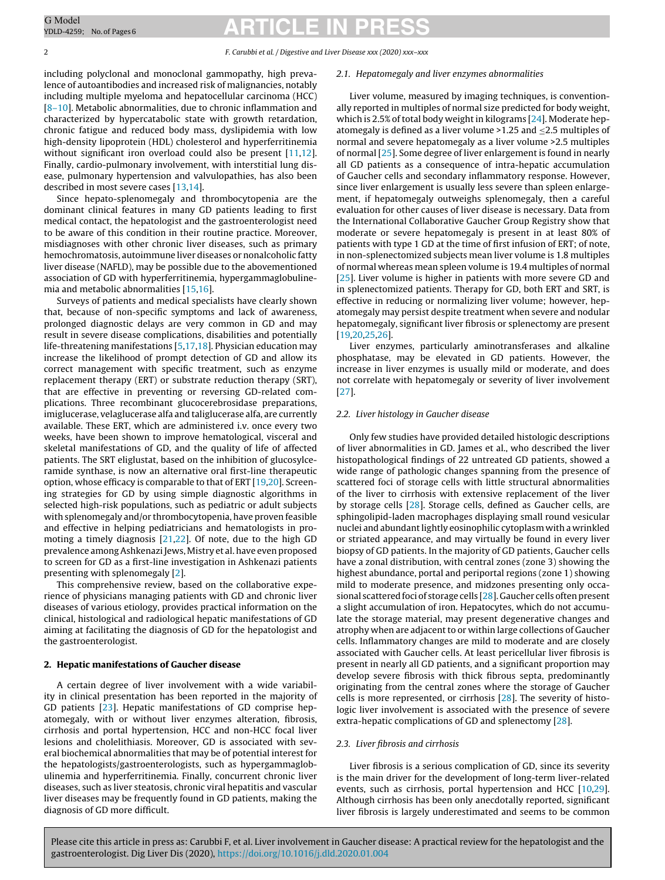2 F. Carubbi et al. / Digestive and Liver Disease xxx (2020) xxx–xxx

including polyclonal and monoclonal gammopathy, high prevalence of autoantibodies and increased risk of malignancies, notably including multiple myeloma and hepatocellular carcinoma (HCC) [[8–10\].](#page-4-0) Metabolic abnormalities, due to chronic inflammation and characterized by hypercatabolic state with growth retardation, chronic fatigue and reduced body mass, dyslipidemia with low high-density lipoprotein (HDL) cholesterol and hyperferritinemia without significant iron overload could also be present [\[11,12\].](#page-4-0) Finally, cardio-pulmonary involvement, with interstitial lung disease, pulmonary hypertension and valvulopathies, has also been described in most severe cases [[13,14\].](#page-4-0)

Since hepato-splenomegaly and thrombocytopenia are the dominant clinical features in many GD patients leading to first medical contact, the hepatologist and the gastroenterologist need to be aware of this condition in their routine practice. Moreover, misdiagnoses with other chronic liver diseases, such as primary hemochromatosis, autoimmune liver diseases or nonalcoholic fatty liver disease (NAFLD), may be possible due to the abovementioned association of GD with hyperferritinemia, hypergammaglobulinemia and metabolic abnormalities [[15,16\].](#page-4-0)

Surveys of patients and medical specialists have clearly shown that, because of non-specific symptoms and lack of awareness, prolonged diagnostic delays are very common in GD and may result in severe disease complications, disabilities and potentially life-threatening manifestations [\[5,17,18\].](#page-4-0) Physician education may increase the likelihood of prompt detection of GD and allow its correct management with specific treatment, such as enzyme replacement therapy (ERT) or substrate reduction therapy (SRT), that are effective in preventing or reversing GD-related complications. Three recombinant glucocerebrosidase preparations, imiglucerase, velaglucerase alfa and taliglucerase alfa, are currently available. These ERT, which are administered i.v. once every two weeks, have been shown to improve hematological, visceral and skeletal manifestations of GD, and the quality of life of affected patients. The SRT eliglustat, based on the inhibition of glucosylceramide synthase, is now an alternative oral first-line therapeutic option, whose efficacy is comparable to that of ERT [[19,20\].](#page-4-0) Screening strategies for GD by using simple diagnostic algorithms in selected high-risk populations, such as pediatric or adult subjects with splenomegaly and/or thrombocytopenia, have proven feasible and effective in helping pediatricians and hematologists in promoting a timely diagnosis [\[21,22\].](#page-4-0) Of note, due to the high GD prevalence amongAshkenazi Jews, Mistry et al. have even proposed to screen for GD as a first-line investigation in Ashkenazi patients presenting with splenomegaly [[2\].](#page-4-0)

This comprehensive review, based on the collaborative experience of physicians managing patients with GD and chronic liver diseases of various etiology, provides practical information on the clinical, histological and radiological hepatic manifestations of GD aiming at facilitating the diagnosis of GD for the hepatologist and the gastroenterologist.

#### **2. Hepatic manifestations of Gaucher disease**

A certain degree of liver involvement with a wide variability in clinical presentation has been reported in the majority of GD patients [[23\].](#page-4-0) Hepatic manifestations of GD comprise hepatomegaly, with or without liver enzymes alteration, fibrosis, cirrhosis and portal hypertension, HCC and non-HCC focal liver lesions and cholelithiasis. Moreover, GD is associated with several biochemical abnormalities that may be of potential interest for the hepatologists/gastroenterologists, such as hypergammaglobulinemia and hyperferritinemia. Finally, concurrent chronic liver diseases, such as liver steatosis, chronic viral hepatitis and vascular liver diseases may be frequently found in GD patients, making the diagnosis of GD more difficult.

#### 2.1. Hepatomegaly and liver enzymes abnormalities

Liver volume, measured by imaging techniques, is conventionally reported in multiples of normal size predicted for body weight, which is 2.5% of total body weight in kilograms [[24\].](#page-4-0) Moderate hepatomegaly is defined as a liver volume >1.25 and  $\leq$ 2.5 multiples of normal and severe hepatomegaly as a liver volume >2.5 multiples of normal [[25\].](#page-4-0) Some degree of liver enlargement is found in nearly all GD patients as a consequence of intra-hepatic accumulation of Gaucher cells and secondary inflammatory response. However, since liver enlargement is usually less severe than spleen enlargement, if hepatomegaly outweighs splenomegaly, then a careful evaluation for other causes of liver disease is necessary. Data from the International Collaborative Gaucher Group Registry show that moderate or severe hepatomegaly is present in at least 80% of patients with type 1 GD at the time of first infusion of ERT; of note, in non-splenectomized subjects mean liver volume is 1.8 multiples of normal whereas mean spleen volume is 19.4 multiples of normal [\[25\].](#page-4-0) Liver volume is higher in patients with more severe GD and in splenectomized patients. Therapy for GD, both ERT and SRT, is effective in reducing or normalizing liver volume; however, hepatomegaly may persist despite treatment when severe and nodular hepatomegaly, significant liver fibrosis or splenectomy are present [\[19,20,25,26\].](#page-4-0)

Liver enzymes, particularly aminotransferases and alkaline phosphatase, may be elevated in GD patients. However, the increase in liver enzymes is usually mild or moderate, and does not correlate with hepatomegaly or severity of liver involvement [\[27\].](#page-5-0)

#### 2.2. Liver histology in Gaucher disease

Only few studies have provided detailed histologic descriptions of liver abnormalities in GD. James et al., who described the liver histopathological findings of 22 untreated GD patients, showed a wide range of pathologic changes spanning from the presence of scattered foci of storage cells with little structural abnormalities of the liver to cirrhosis with extensive replacement of the liver by storage cells [\[28\].](#page-5-0) Storage cells, defined as Gaucher cells, are sphingolipid-laden macrophages displaying small round vesicular nuclei and abundant lightly eosinophilic cytoplasm with a wrinkled or striated appearance, and may virtually be found in every liver biopsy of GD patients. In the majority of GD patients, Gaucher cells have a zonal distribution, with central zones (zone 3) showing the highest abundance, portal and periportal regions (zone 1) showing mild to moderate presence, and midzones presenting only occa-sional scattered foci of storage cells [[28\].](#page-5-0) Gaucher cells often present a slight accumulation of iron. Hepatocytes, which do not accumulate the storage material, may present degenerative changes and atrophy when are adjacent to or within large collections of Gaucher cells. Inflammatory changes are mild to moderate and are closely associated with Gaucher cells. At least pericellular liver fibrosis is present in nearly all GD patients, and a significant proportion may develop severe fibrosis with thick fibrous septa, predominantly originating from the central zones where the storage of Gaucher cells is more represented, or cirrhosis  $[28]$ . The severity of histologic liver involvement is associated with the presence of severe extra-hepatic complications of GD and splenectomy [\[28\].](#page-5-0)

#### 2.3. Liver fibrosis and cirrhosis

Liver fibrosis is a serious complication of GD, since its severity is the main driver for the development of long-term liver-related events, such as cirrhosis, portal hypertension and HCC [[10,](#page-4-0)[29\].](#page-5-0) Although cirrhosis has been only anecdotally reported, significant liver fibrosis is largely underestimated and seems to be common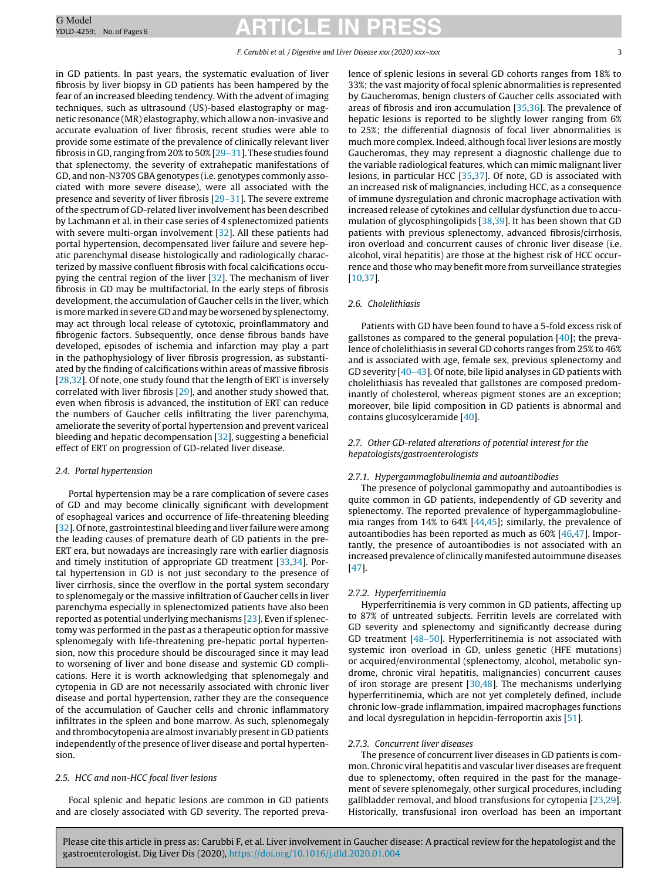#### F. Carubbi et al. / Digestive and Liver Disease xxx (2020) xxx–xxx 3

in GD patients. In past years, the systematic evaluation of liver fibrosis by liver biopsy in GD patients has been hampered by the fear of an increased bleeding tendency. With the advent of imaging techniques, such as ultrasound (US)-based elastography or magnetic resonance (MR) elastography, which allow a non-invasive and accurate evaluation of liver fibrosis, recent studies were able to provide some estimate of the prevalence of clinically relevant liver fibrosis in GD, ranging from20%to 50%[[29–31\].](#page-5-0) These studies found that splenectomy, the severity of extrahepatic manifestations of GD, and non-N370S GBA genotypes (i.e. genotypes commonly associated with more severe disease), were all associated with the presence and severity of liver fibrosis [[29–31\].](#page-5-0) The severe extreme ofthe spectrum of GD-related liver involvement has been described by Lachmann et al. in their case series of 4 splenectomized patients with severe multi-organ involvement [[32\].](#page-5-0) All these patients had portal hypertension, decompensated liver failure and severe hepatic parenchymal disease histologically and radiologically characterized by massive confluent fibrosis with focal calcifications occupying the central region of the liver [\[32\].](#page-5-0) The mechanism of liver fibrosis in GD may be multifactorial. In the early steps of fibrosis development, the accumulation of Gaucher cells in the liver, which is more marked in severe GD and may be worsened by splenectomy, may act through local release of cytotoxic, proinflammatory and fibrogenic factors. Subsequently, once dense fibrous bands have developed, episodes of ischemia and infarction may play a part in the pathophysiology of liver fibrosis progression, as substantiated by the finding of calcifications within areas of massive fibrosis [[28,32\].](#page-5-0) Of note, one study found that the length of ERT is inversely correlated with liver fibrosis [\[29\],](#page-5-0) and another study showed that, even when fibrosis is advanced, the institution of ERT can reduce the numbers of Gaucher cells infiltrating the liver parenchyma, ameliorate the severity of portal hypertension and prevent variceal bleeding and hepatic decompensation [[32\],](#page-5-0) suggesting a beneficial effect of ERT on progression of GD-related liver disease.

#### 2.4. Portal hypertension

Portal hypertension may be a rare complication of severe cases of GD and may become clinically significant with development of esophageal varices and occurrence of life-threatening bleeding [[32\].](#page-5-0) Of note, gastrointestinal bleeding and liver failure were among the leading causes of premature death of GD patients in the pre-ERT era, but nowadays are increasingly rare with earlier diagnosis and timely institution of appropriate GD treatment [[33,34\].](#page-5-0) Portal hypertension in GD is not just secondary to the presence of liver cirrhosis, since the overflow in the portal system secondary to splenomegaly or the massive infiltration of Gaucher cells in liver parenchyma especially in splenectomized patients have also been reported as potential underlying mechanisms [[23\].](#page-4-0) Even if splenectomy was performed in the past as a therapeutic option for massive splenomegaly with life-threatening pre-hepatic portal hypertension, now this procedure should be discouraged since it may lead to worsening of liver and bone disease and systemic GD complications. Here it is worth acknowledging that splenomegaly and cytopenia in GD are not necessarily associated with chronic liver disease and portal hypertension, rather they are the consequence of the accumulation of Gaucher cells and chronic inflammatory infiltrates in the spleen and bone marrow. As such, splenomegaly and thrombocytopenia are almostinvariably presentin GD patients independently of the presence of liver disease and portal hypertension.

#### 2.5. HCC and non-HCC focal liver lesions

Focal splenic and hepatic lesions are common in GD patients and are closely associated with GD severity. The reported prevalence of splenic lesions in several GD cohorts ranges from 18% to 33%; the vast majority of focal splenic abnormalities is represented by Gaucheromas, benign clusters of Gaucher cells associated with areas of fibrosis and iron accumulation [\[35,36\].](#page-5-0) The prevalence of hepatic lesions is reported to be slightly lower ranging from 6% to 25%; the differential diagnosis of focal liver abnormalities is much more complex. Indeed, although focal liver lesions are mostly Gaucheromas, they may represent a diagnostic challenge due to the variable radiological features, which can mimic malignant liver lesions, in particular HCC [[35,37\].](#page-5-0) Of note, GD is associated with an increased risk of malignancies, including HCC, as a consequence of immune dysregulation and chronic macrophage activation with increased release of cytokines and cellular dysfunction due to accumulation of glycosphingolipids [\[38,39\].](#page-5-0) It has been shown that GD patients with previous splenectomy, advanced fibrosis/cirrhosis, iron overload and concurrent causes of chronic liver disease (i.e. alcohol, viral hepatitis) are those at the highest risk of HCC occurrence and those who may benefit more from surveillance strategies [\[10,](#page-4-0)[37\].](#page-5-0)

#### 2.6. Cholelithiasis

Patients with GD have been found to have a 5-fold excess risk of gallstones as compared to the general population [\[40\];](#page-5-0) the prevalence of cholelithiasis in several GD cohorts ranges from 25% to 46% and is associated with age, female sex, previous splenectomy and GD severity [[40–43\].](#page-5-0) Of note, bile lipid analyses in GD patients with cholelithiasis has revealed that gallstones are composed predominantly of cholesterol, whereas pigment stones are an exception; moreover, bile lipid composition in GD patients is abnormal and contains glucosylceramide [\[40\].](#page-5-0)

#### 2.7. Other GD-related alterations of potential interest for the hepatologists/gastroenterologists

#### 2.7.1. Hypergammaglobulinemia and autoantibodies

The presence of polyclonal gammopathy and autoantibodies is quite common in GD patients, independently of GD severity and splenectomy. The reported prevalence of hypergammaglobulinemia ranges from 14% to 64% [\[44,45\];](#page-5-0) similarly, the prevalence of autoantibodies has been reported as much as 60% [[46,47\].](#page-5-0) Importantly, the presence of autoantibodies is not associated with an increased prevalence of clinically manifested autoimmune diseases [\[47\].](#page-5-0)

#### 2.7.2. Hyperferritinemia

Hyperferritinemia is very common in GD patients, affecting up to 87% of untreated subjects. Ferritin levels are correlated with GD severity and splenectomy and significantly decrease during GD treatment [\[48–50\].](#page-5-0) Hyperferritinemia is not associated with systemic iron overload in GD, unless genetic (HFE mutations) or acquired/environmental (splenectomy, alcohol, metabolic syndrome, chronic viral hepatitis, malignancies) concurrent causes of iron storage are present [\[30,48\].](#page-5-0) The mechanisms underlying hyperferritinemia, which are not yet completely defined, include chronic low-grade inflammation, impaired macrophages functions and local dysregulation in hepcidin-ferroportin axis [[51\].](#page-5-0)

#### 2.7.3. Concurrent liver diseases

The presence of concurrent liver diseases in GD patients is common. Chronic viral hepatitis and vascular liver diseases are frequent due to splenectomy, often required in the past for the management of severe splenomegaly, other surgical procedures, including gallbladder removal, and blood transfusions for cytopenia [[23,](#page-4-0)[29\].](#page-5-0) Historically, transfusional iron overload has been an important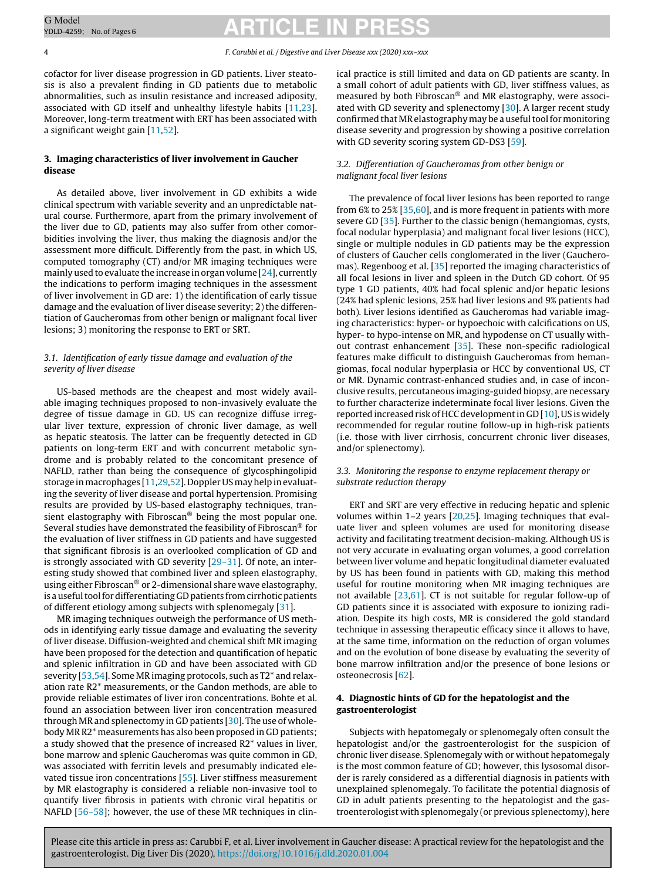4 F. Carubbi et al. / Digestive and Liver Disease xxx (2020) xxx–xxx

cofactor for liver disease progression in GD patients. Liver steatosis is also a prevalent finding in GD patients due to metabolic abnormalities, such as insulin resistance and increased adiposity, associated with GD itself and unhealthy lifestyle habits [\[11,23\].](#page-4-0) Moreover, long-term treatment with ERT has been associated with a significant weight gain [\[11,](#page-4-0)[52\].](#page-5-0)

#### **3. Imaging characteristics of liver involvement in Gaucher disease**

As detailed above, liver involvement in GD exhibits a wide clinical spectrum with variable severity and an unpredictable natural course. Furthermore, apart from the primary involvement of the liver due to GD, patients may also suffer from other comorbidities involving the liver, thus making the diagnosis and/or the assessment more difficult. Differently from the past, in which US, computed tomography (CT) and/or MR imaging techniques were mainly used to evaluate the increase in organ volume  $[24]$ , currently the indications to perform imaging techniques in the assessment of liver involvement in GD are: 1) the identification of early tissue damage and the evaluation of liver disease severity; 2) the differentiation of Gaucheromas from other benign or malignant focal liver lesions; 3) monitoring the response to ERT or SRT.

#### 3.1. Identification of early tissue damage and evaluation of the severity of liver disease

US-based methods are the cheapest and most widely available imaging techniques proposed to non-invasively evaluate the degree of tissue damage in GD. US can recognize diffuse irregular liver texture, expression of chronic liver damage, as well as hepatic steatosis. The latter can be frequently detected in GD patients on long-term ERT and with concurrent metabolic syndrome and is probably related to the concomitant presence of NAFLD, rather than being the consequence of glycosphingolipid storage in macrophages [\[11,](#page-4-0)[29,52\].](#page-5-0) Doppler US may help in evaluating the severity of liver disease and portal hypertension. Promising results are provided by US-based elastography techniques, transient elastography with Fibroscan® being the most popular one. Several studies have demonstrated the feasibility of Fibroscan® for the evaluation of liver stiffness in GD patients and have suggested that significant fibrosis is an overlooked complication of GD and is strongly associated with GD severity [\[29–31\].](#page-5-0) Of note, an interesting study showed that combined liver and spleen elastography, using either Fibroscan® or 2-dimensional share wave elastography, is a useful tool for differentiating GD patients from cirrhotic patients of different etiology among subjects with splenomegaly [\[31\].](#page-5-0)

MR imaging techniques outweigh the performance of US methods in identifying early tissue damage and evaluating the severity of liver disease. Diffusion-weighted and chemical shift MR imaging have been proposed for the detection and quantification of hepatic and splenic infiltration in GD and have been associated with GD severity [[53,54\].](#page-5-0) Some MR imaging protocols, such as T2\* and relaxation rate R2\* measurements, or the Gandon methods, are able to provide reliable estimates of liver iron concentrations. Bohte et al. found an association between liver iron concentration measured through MR and splenectomy in GD patients [[30\].](#page-5-0) The use of wholebody MR R2\* measurements has also been proposed in GD patients; a study showed that the presence of increased R2\* values in liver, bone marrow and splenic Gaucheromas was quite common in GD, was associated with ferritin levels and presumably indicated elevated tissue iron concentrations [\[55\].](#page-5-0) Liver stiffness measurement by MR elastography is considered a reliable non-invasive tool to quantify liver fibrosis in patients with chronic viral hepatitis or NAFLD [\[56–58\];](#page-5-0) however, the use of these MR techniques in clinical practice is still limited and data on GD patients are scanty. In a small cohort of adult patients with GD, liver stiffness values, as measured by both Fibroscan® and MR elastography, were associated with GD severity and splenectomy [[30\].](#page-5-0) A larger recent study confirmed that MR elastography may be a useful tool for monitoring disease severity and progression by showing a positive correlation with GD severity scoring system GD-DS3 [[59\].](#page-5-0)

#### 3.2. Differentiation of Gaucheromas from other benign or malignant focal liver lesions

The prevalence of focal liver lesions has been reported to range from 6% to 25% [[35,60\],](#page-5-0) and is more frequent in patients with more severe GD [[35\].](#page-5-0) Further to the classic benign (hemangiomas, cysts, focal nodular hyperplasia) and malignant focal liver lesions (HCC), single or multiple nodules in GD patients may be the expression of clusters of Gaucher cells conglomerated in the liver (Gaucheromas). Regenboog et al. [\[35\]](#page-5-0) reported the imaging characteristics of all focal lesions in liver and spleen in the Dutch GD cohort. Of 95 type 1 GD patients, 40% had focal splenic and/or hepatic lesions (24% had splenic lesions, 25% had liver lesions and 9% patients had both). Liver lesions identified as Gaucheromas had variable imaging characteristics: hyper- or hypoechoic with calcifications on US, hyper- to hypo-intense on MR, and hypodense on CT usually without contrast enhancement [[35\].](#page-5-0) These non-specific radiological features make difficult to distinguish Gaucheromas from hemangiomas, focal nodular hyperplasia or HCC by conventional US, CT or MR. Dynamic contrast-enhanced studies and, in case of inconclusive results, percutaneous imaging-guided biopsy, are necessary to further characterize indeterminate focal liver lesions. Given the reported increased risk of HCC development in GD  $[10]$ , US is widely recommended for regular routine follow-up in high-risk patients (i.e. those with liver cirrhosis, concurrent chronic liver diseases, and/or splenectomy).

#### 3.3. Monitoring the response to enzyme replacement therapy or substrate reduction therapy

ERT and SRT are very effective in reducing hepatic and splenic volumes within 1–2 years  $[20,25]$ . Imaging techniques that evaluate liver and spleen volumes are used for monitoring disease activity and facilitating treatment decision-making. Although US is not very accurate in evaluating organ volumes, a good correlation between liver volume and hepatic longitudinal diameter evaluated by US has been found in patients with GD, making this method useful for routine monitoring when MR imaging techniques are not available [[23,](#page-4-0)[61\].](#page-5-0) CT is not suitable for regular follow-up of GD patients since it is associated with exposure to ionizing radiation. Despite its high costs, MR is considered the gold standard technique in assessing therapeutic efficacy since it allows to have, at the same time, information on the reduction of organ volumes and on the evolution of bone disease by evaluating the severity of bone marrow infiltration and/or the presence of bone lesions or osteonecrosis [\[62\].](#page-5-0)

#### **4. Diagnostic hints of GD for the hepatologist and the gastroenterologist**

Subjects with hepatomegaly or splenomegaly often consult the hepatologist and/or the gastroenterologist for the suspicion of chronic liver disease. Splenomegaly with or without hepatomegaly is the most common feature of GD; however, this lysosomal disorder is rarely considered as a differential diagnosis in patients with unexplained splenomegaly. To facilitate the potential diagnosis of GD in adult patients presenting to the hepatologist and the gastroenterologist with splenomegaly (or previous splenectomy), here

Please cite this article in press as: Carubbi F, et al. Liver involvement in Gaucher disease: A practical review for the hepatologist and the

gastroenterologist. Dig Liver Dis (2020), <https://doi.org/10.1016/j.dld.2020.01.004>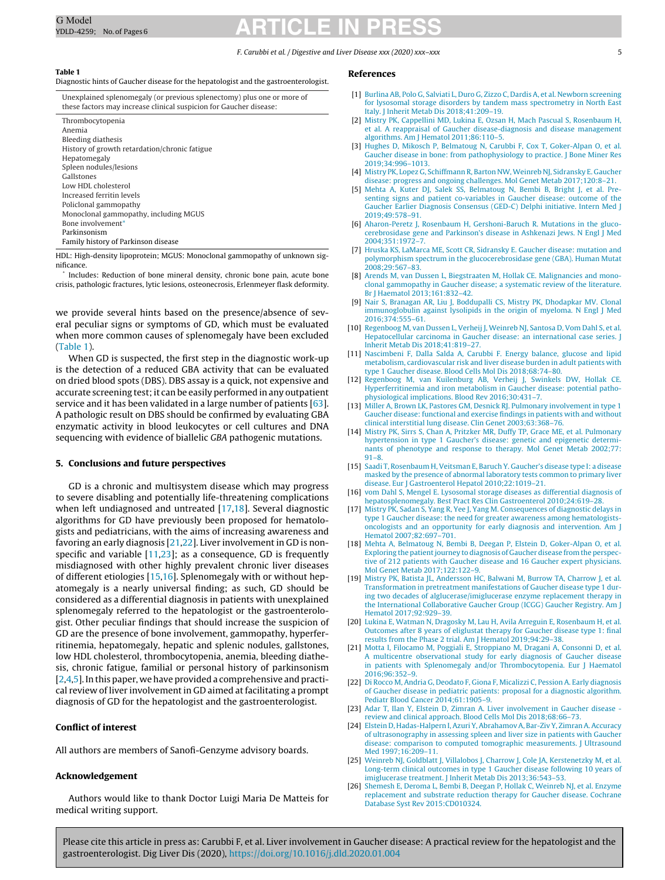#### F. Carubbi et al. / Digestive and Liver Disease xxx (2020) xxx–xxx 5

#### <span id="page-4-0"></span>**Table 1** Diagnostic hints of Gaucher disease for the hepatologist and the gastroenterologist.

Unexplained splenomegaly (or previous splenectomy) plus one or more of

| these factors may increase clinical suspicion for Gaucher disease: |
|--------------------------------------------------------------------|
| Thrombocytopenia                                                   |
| Anemia                                                             |
| Bleeding diathesis                                                 |
| History of growth retardation/chronic fatigue                      |
| Hepatomegaly                                                       |
| Spleen nodules/lesions                                             |
| Gallstones                                                         |
| Low HDL cholesterol                                                |
| Increased ferritin levels                                          |
| Policlonal gammopathy                                              |
| Monoclonal gammopathy, including MGUS                              |
| Bone involvement <sup>*</sup>                                      |
| Parkinsonism                                                       |
| Family history of Parkinson disease                                |
|                                                                    |

HDL: High-density lipoprotein; MGUS: Monoclonal gammopathy of unknown significance.

Includes: Reduction of bone mineral density, chronic bone pain, acute bone crisis, pathologic fractures, lytic lesions, osteonecrosis, Erlenmeyer flask deformity.

we provide several hints based on the presence/absence of several peculiar signs or symptoms of GD, which must be evaluated when more common causes of splenomegaly have been excluded (Table 1).

When GD is suspected, the first step in the diagnostic work-up is the detection of a reduced GBA activity that can be evaluated on dried blood spots (DBS). DBS assay is a quick, not expensive and accurate screening test; it can be easily performed in any outpatient service and it has been validated in a large number of patients [[63\].](#page-5-0) A pathologic result on DBS should be confirmed by evaluating GBA enzymatic activity in blood leukocytes or cell cultures and DNA sequencing with evidence of biallelic GBA pathogenic mutations.

#### **5. Conclusions and future perspectives**

GD is a chronic and multisystem disease which may progress to severe disabling and potentially life-threatening complications when left undiagnosed and untreated [17,18]. Several diagnostic algorithms for GD have previously been proposed for hematologists and pediatricians, with the aims of increasing awareness and favoring an early diagnosis [21,22]. Liver involvement in GD is nonspecific and variable  $[11,23]$ ; as a consequence, GD is frequently misdiagnosed with other highly prevalent chronic liver diseases of different etiologies [15,16]. Splenomegaly with or without hepatomegaly is a nearly universal finding; as such, GD should be considered as a differential diagnosis in patients with unexplained splenomegaly referred to the hepatologist or the gastroenterologist. Other peculiar findings that should increase the suspicion of GD are the presence of bone involvement, gammopathy, hyperferritinemia, hepatomegaly, hepatic and splenic nodules, gallstones, low HDL cholesterol, thrombocytopenia, anemia, bleeding diathesis, chronic fatigue, familial or personal history of parkinsonism  $[2,4,5]$ . In this paper, we have provided a comprehensive and practical review of liver involvement in GD aimed at facilitating a prompt diagnosis of GD for the hepatologist and the gastroenterologist.

#### **Conflict of interest**

All authors are members of Sanofi-Genzyme advisory boards.

#### **Acknowledgement**

Authors would like to thank Doctor Luigi Maria De Matteis for medical writing support.

#### **References**

- [1] [Burlina](http://refhub.elsevier.com/S1590-8658(20)30030-X/sbref0005) [AB,](http://refhub.elsevier.com/S1590-8658(20)30030-X/sbref0005) [Polo](http://refhub.elsevier.com/S1590-8658(20)30030-X/sbref0005) [G,](http://refhub.elsevier.com/S1590-8658(20)30030-X/sbref0005) [Salviati](http://refhub.elsevier.com/S1590-8658(20)30030-X/sbref0005) [L,](http://refhub.elsevier.com/S1590-8658(20)30030-X/sbref0005) [Duro](http://refhub.elsevier.com/S1590-8658(20)30030-X/sbref0005) [G,](http://refhub.elsevier.com/S1590-8658(20)30030-X/sbref0005) [Zizzo](http://refhub.elsevier.com/S1590-8658(20)30030-X/sbref0005) [C,](http://refhub.elsevier.com/S1590-8658(20)30030-X/sbref0005) [Dardis](http://refhub.elsevier.com/S1590-8658(20)30030-X/sbref0005) [A,](http://refhub.elsevier.com/S1590-8658(20)30030-X/sbref0005) [et](http://refhub.elsevier.com/S1590-8658(20)30030-X/sbref0005) [al.](http://refhub.elsevier.com/S1590-8658(20)30030-X/sbref0005) [Newborn](http://refhub.elsevier.com/S1590-8658(20)30030-X/sbref0005) [screening](http://refhub.elsevier.com/S1590-8658(20)30030-X/sbref0005) [for](http://refhub.elsevier.com/S1590-8658(20)30030-X/sbref0005) [lysosomal](http://refhub.elsevier.com/S1590-8658(20)30030-X/sbref0005) [storage](http://refhub.elsevier.com/S1590-8658(20)30030-X/sbref0005) [disorders](http://refhub.elsevier.com/S1590-8658(20)30030-X/sbref0005) [by](http://refhub.elsevier.com/S1590-8658(20)30030-X/sbref0005) [tandem](http://refhub.elsevier.com/S1590-8658(20)30030-X/sbref0005) [mass](http://refhub.elsevier.com/S1590-8658(20)30030-X/sbref0005) [spectrometry](http://refhub.elsevier.com/S1590-8658(20)30030-X/sbref0005) [in](http://refhub.elsevier.com/S1590-8658(20)30030-X/sbref0005) [North](http://refhub.elsevier.com/S1590-8658(20)30030-X/sbref0005) [East](http://refhub.elsevier.com/S1590-8658(20)30030-X/sbref0005) [Italy.](http://refhub.elsevier.com/S1590-8658(20)30030-X/sbref0005) [J](http://refhub.elsevier.com/S1590-8658(20)30030-X/sbref0005) [Inherit](http://refhub.elsevier.com/S1590-8658(20)30030-X/sbref0005) [Metab](http://refhub.elsevier.com/S1590-8658(20)30030-X/sbref0005) [Dis](http://refhub.elsevier.com/S1590-8658(20)30030-X/sbref0005) [2018;41:209–19.](http://refhub.elsevier.com/S1590-8658(20)30030-X/sbref0005)
- [2] [Mistry](http://refhub.elsevier.com/S1590-8658(20)30030-X/sbref0010) [PK,](http://refhub.elsevier.com/S1590-8658(20)30030-X/sbref0010) [Cappellini](http://refhub.elsevier.com/S1590-8658(20)30030-X/sbref0010) [MD,](http://refhub.elsevier.com/S1590-8658(20)30030-X/sbref0010) [Lukina](http://refhub.elsevier.com/S1590-8658(20)30030-X/sbref0010) [E,](http://refhub.elsevier.com/S1590-8658(20)30030-X/sbref0010) [Ozsan](http://refhub.elsevier.com/S1590-8658(20)30030-X/sbref0010) [H,](http://refhub.elsevier.com/S1590-8658(20)30030-X/sbref0010) [Mach](http://refhub.elsevier.com/S1590-8658(20)30030-X/sbref0010) [Pascual](http://refhub.elsevier.com/S1590-8658(20)30030-X/sbref0010) [S,](http://refhub.elsevier.com/S1590-8658(20)30030-X/sbref0010) [Rosenbaum](http://refhub.elsevier.com/S1590-8658(20)30030-X/sbref0010) [H,](http://refhub.elsevier.com/S1590-8658(20)30030-X/sbref0010) [et](http://refhub.elsevier.com/S1590-8658(20)30030-X/sbref0010) [al.](http://refhub.elsevier.com/S1590-8658(20)30030-X/sbref0010) [A](http://refhub.elsevier.com/S1590-8658(20)30030-X/sbref0010) [reappraisal](http://refhub.elsevier.com/S1590-8658(20)30030-X/sbref0010) [of](http://refhub.elsevier.com/S1590-8658(20)30030-X/sbref0010) [Gaucher](http://refhub.elsevier.com/S1590-8658(20)30030-X/sbref0010) [disease-diagnosis](http://refhub.elsevier.com/S1590-8658(20)30030-X/sbref0010) [and](http://refhub.elsevier.com/S1590-8658(20)30030-X/sbref0010) [disease](http://refhub.elsevier.com/S1590-8658(20)30030-X/sbref0010) [management](http://refhub.elsevier.com/S1590-8658(20)30030-X/sbref0010) [algorithms.](http://refhub.elsevier.com/S1590-8658(20)30030-X/sbref0010) [Am](http://refhub.elsevier.com/S1590-8658(20)30030-X/sbref0010) [J](http://refhub.elsevier.com/S1590-8658(20)30030-X/sbref0010) [Hematol](http://refhub.elsevier.com/S1590-8658(20)30030-X/sbref0010) [2011;86:110](http://refhub.elsevier.com/S1590-8658(20)30030-X/sbref0010)–[5.](http://refhub.elsevier.com/S1590-8658(20)30030-X/sbref0010)
- [3] [Hughes](http://refhub.elsevier.com/S1590-8658(20)30030-X/sbref0015) [D,](http://refhub.elsevier.com/S1590-8658(20)30030-X/sbref0015) [Mikosch](http://refhub.elsevier.com/S1590-8658(20)30030-X/sbref0015) [P,](http://refhub.elsevier.com/S1590-8658(20)30030-X/sbref0015) [Belmatoug](http://refhub.elsevier.com/S1590-8658(20)30030-X/sbref0015) [N,](http://refhub.elsevier.com/S1590-8658(20)30030-X/sbref0015) [Carubbi](http://refhub.elsevier.com/S1590-8658(20)30030-X/sbref0015) [F,](http://refhub.elsevier.com/S1590-8658(20)30030-X/sbref0015) [Cox](http://refhub.elsevier.com/S1590-8658(20)30030-X/sbref0015) [T,](http://refhub.elsevier.com/S1590-8658(20)30030-X/sbref0015) [Goker-Alpan](http://refhub.elsevier.com/S1590-8658(20)30030-X/sbref0015) [O,](http://refhub.elsevier.com/S1590-8658(20)30030-X/sbref0015) [et](http://refhub.elsevier.com/S1590-8658(20)30030-X/sbref0015) [al.](http://refhub.elsevier.com/S1590-8658(20)30030-X/sbref0015) [Gaucher](http://refhub.elsevier.com/S1590-8658(20)30030-X/sbref0015) [disease](http://refhub.elsevier.com/S1590-8658(20)30030-X/sbref0015) [in](http://refhub.elsevier.com/S1590-8658(20)30030-X/sbref0015) [bone:](http://refhub.elsevier.com/S1590-8658(20)30030-X/sbref0015) [from](http://refhub.elsevier.com/S1590-8658(20)30030-X/sbref0015) [pathophysiology](http://refhub.elsevier.com/S1590-8658(20)30030-X/sbref0015) [to](http://refhub.elsevier.com/S1590-8658(20)30030-X/sbref0015) [practice.](http://refhub.elsevier.com/S1590-8658(20)30030-X/sbref0015) [J](http://refhub.elsevier.com/S1590-8658(20)30030-X/sbref0015) [Bone](http://refhub.elsevier.com/S1590-8658(20)30030-X/sbref0015) [Miner](http://refhub.elsevier.com/S1590-8658(20)30030-X/sbref0015) [Res](http://refhub.elsevier.com/S1590-8658(20)30030-X/sbref0015) [2019;34:996](http://refhub.elsevier.com/S1590-8658(20)30030-X/sbref0015)–[1013.](http://refhub.elsevier.com/S1590-8658(20)30030-X/sbref0015)
- [4] [Mistry](http://refhub.elsevier.com/S1590-8658(20)30030-X/sbref0020) [PK,](http://refhub.elsevier.com/S1590-8658(20)30030-X/sbref0020) [Lopez](http://refhub.elsevier.com/S1590-8658(20)30030-X/sbref0020) [G,](http://refhub.elsevier.com/S1590-8658(20)30030-X/sbref0020) [Schiffmann](http://refhub.elsevier.com/S1590-8658(20)30030-X/sbref0020) [R,](http://refhub.elsevier.com/S1590-8658(20)30030-X/sbref0020) [Barton](http://refhub.elsevier.com/S1590-8658(20)30030-X/sbref0020) NW, Weinreb [NJ,](http://refhub.elsevier.com/S1590-8658(20)30030-X/sbref0020) [Sidransky](http://refhub.elsevier.com/S1590-8658(20)30030-X/sbref0020) [E.](http://refhub.elsevier.com/S1590-8658(20)30030-X/sbref0020) [Gaucher](http://refhub.elsevier.com/S1590-8658(20)30030-X/sbref0020) [disease:](http://refhub.elsevier.com/S1590-8658(20)30030-X/sbref0020) [progress](http://refhub.elsevier.com/S1590-8658(20)30030-X/sbref0020) [and](http://refhub.elsevier.com/S1590-8658(20)30030-X/sbref0020) [ongoing](http://refhub.elsevier.com/S1590-8658(20)30030-X/sbref0020) [challenges.](http://refhub.elsevier.com/S1590-8658(20)30030-X/sbref0020) [Mol](http://refhub.elsevier.com/S1590-8658(20)30030-X/sbref0020) [Genet](http://refhub.elsevier.com/S1590-8658(20)30030-X/sbref0020) [Metab](http://refhub.elsevier.com/S1590-8658(20)30030-X/sbref0020) [2017;120:8–21.](http://refhub.elsevier.com/S1590-8658(20)30030-X/sbref0020)
- [5] [Mehta](http://refhub.elsevier.com/S1590-8658(20)30030-X/sbref0025) [A,](http://refhub.elsevier.com/S1590-8658(20)30030-X/sbref0025) [Kuter](http://refhub.elsevier.com/S1590-8658(20)30030-X/sbref0025) [DJ,](http://refhub.elsevier.com/S1590-8658(20)30030-X/sbref0025) [Salek](http://refhub.elsevier.com/S1590-8658(20)30030-X/sbref0025) [SS,](http://refhub.elsevier.com/S1590-8658(20)30030-X/sbref0025) [Belmatoug](http://refhub.elsevier.com/S1590-8658(20)30030-X/sbref0025) [N,](http://refhub.elsevier.com/S1590-8658(20)30030-X/sbref0025) [Bembi](http://refhub.elsevier.com/S1590-8658(20)30030-X/sbref0025) [B,](http://refhub.elsevier.com/S1590-8658(20)30030-X/sbref0025) [Bright](http://refhub.elsevier.com/S1590-8658(20)30030-X/sbref0025) [J,](http://refhub.elsevier.com/S1590-8658(20)30030-X/sbref0025) [et](http://refhub.elsevier.com/S1590-8658(20)30030-X/sbref0025) [al.](http://refhub.elsevier.com/S1590-8658(20)30030-X/sbref0025) [Pre](http://refhub.elsevier.com/S1590-8658(20)30030-X/sbref0025)[senting](http://refhub.elsevier.com/S1590-8658(20)30030-X/sbref0025) [signs](http://refhub.elsevier.com/S1590-8658(20)30030-X/sbref0025) [and](http://refhub.elsevier.com/S1590-8658(20)30030-X/sbref0025) [patient](http://refhub.elsevier.com/S1590-8658(20)30030-X/sbref0025) [co-variables](http://refhub.elsevier.com/S1590-8658(20)30030-X/sbref0025) [in](http://refhub.elsevier.com/S1590-8658(20)30030-X/sbref0025) [Gaucher](http://refhub.elsevier.com/S1590-8658(20)30030-X/sbref0025) [disease:](http://refhub.elsevier.com/S1590-8658(20)30030-X/sbref0025) [outcome](http://refhub.elsevier.com/S1590-8658(20)30030-X/sbref0025) [of](http://refhub.elsevier.com/S1590-8658(20)30030-X/sbref0025) [the](http://refhub.elsevier.com/S1590-8658(20)30030-X/sbref0025) [Gaucher](http://refhub.elsevier.com/S1590-8658(20)30030-X/sbref0025) [Earlier](http://refhub.elsevier.com/S1590-8658(20)30030-X/sbref0025) [Diagnosis](http://refhub.elsevier.com/S1590-8658(20)30030-X/sbref0025) [Consensus](http://refhub.elsevier.com/S1590-8658(20)30030-X/sbref0025) [\(GED-C\)](http://refhub.elsevier.com/S1590-8658(20)30030-X/sbref0025) [Delphi](http://refhub.elsevier.com/S1590-8658(20)30030-X/sbref0025) [initiative.](http://refhub.elsevier.com/S1590-8658(20)30030-X/sbref0025) [Intern](http://refhub.elsevier.com/S1590-8658(20)30030-X/sbref0025) [Med](http://refhub.elsevier.com/S1590-8658(20)30030-X/sbref0025) [J](http://refhub.elsevier.com/S1590-8658(20)30030-X/sbref0025) [2019;49:578](http://refhub.elsevier.com/S1590-8658(20)30030-X/sbref0025)–[91.](http://refhub.elsevier.com/S1590-8658(20)30030-X/sbref0025)
- [6] [Aharon-Peretz](http://refhub.elsevier.com/S1590-8658(20)30030-X/sbref0030) [J,](http://refhub.elsevier.com/S1590-8658(20)30030-X/sbref0030) [Rosenbaum](http://refhub.elsevier.com/S1590-8658(20)30030-X/sbref0030) [H,](http://refhub.elsevier.com/S1590-8658(20)30030-X/sbref0030) [Gershoni-Baruch](http://refhub.elsevier.com/S1590-8658(20)30030-X/sbref0030) [R.](http://refhub.elsevier.com/S1590-8658(20)30030-X/sbref0030) [Mutations](http://refhub.elsevier.com/S1590-8658(20)30030-X/sbref0030) [in](http://refhub.elsevier.com/S1590-8658(20)30030-X/sbref0030) [the](http://refhub.elsevier.com/S1590-8658(20)30030-X/sbref0030) [gluco](http://refhub.elsevier.com/S1590-8658(20)30030-X/sbref0030)[cerebrosidase](http://refhub.elsevier.com/S1590-8658(20)30030-X/sbref0030) [gene](http://refhub.elsevier.com/S1590-8658(20)30030-X/sbref0030) [and](http://refhub.elsevier.com/S1590-8658(20)30030-X/sbref0030) [Parkinson's](http://refhub.elsevier.com/S1590-8658(20)30030-X/sbref0030) [disease](http://refhub.elsevier.com/S1590-8658(20)30030-X/sbref0030) [in](http://refhub.elsevier.com/S1590-8658(20)30030-X/sbref0030) [Ashkenazi](http://refhub.elsevier.com/S1590-8658(20)30030-X/sbref0030) [Jews.](http://refhub.elsevier.com/S1590-8658(20)30030-X/sbref0030) [N](http://refhub.elsevier.com/S1590-8658(20)30030-X/sbref0030) [Engl](http://refhub.elsevier.com/S1590-8658(20)30030-X/sbref0030) [J](http://refhub.elsevier.com/S1590-8658(20)30030-X/sbref0030) [Med](http://refhub.elsevier.com/S1590-8658(20)30030-X/sbref0030) [2004;351:1972](http://refhub.elsevier.com/S1590-8658(20)30030-X/sbref0030)–[7.](http://refhub.elsevier.com/S1590-8658(20)30030-X/sbref0030)
- [7] [Hruska](http://refhub.elsevier.com/S1590-8658(20)30030-X/sbref0035) [KS,](http://refhub.elsevier.com/S1590-8658(20)30030-X/sbref0035) [LaMarca](http://refhub.elsevier.com/S1590-8658(20)30030-X/sbref0035) [ME,](http://refhub.elsevier.com/S1590-8658(20)30030-X/sbref0035) [Scott](http://refhub.elsevier.com/S1590-8658(20)30030-X/sbref0035) [CR,](http://refhub.elsevier.com/S1590-8658(20)30030-X/sbref0035) [Sidransky](http://refhub.elsevier.com/S1590-8658(20)30030-X/sbref0035) [E.](http://refhub.elsevier.com/S1590-8658(20)30030-X/sbref0035) [Gaucher](http://refhub.elsevier.com/S1590-8658(20)30030-X/sbref0035) [disease:](http://refhub.elsevier.com/S1590-8658(20)30030-X/sbref0035) [mutation](http://refhub.elsevier.com/S1590-8658(20)30030-X/sbref0035) [and](http://refhub.elsevier.com/S1590-8658(20)30030-X/sbref0035) [polymorphism](http://refhub.elsevier.com/S1590-8658(20)30030-X/sbref0035) [spectrum](http://refhub.elsevier.com/S1590-8658(20)30030-X/sbref0035) [in](http://refhub.elsevier.com/S1590-8658(20)30030-X/sbref0035) [the](http://refhub.elsevier.com/S1590-8658(20)30030-X/sbref0035) [glucocerebrosidase](http://refhub.elsevier.com/S1590-8658(20)30030-X/sbref0035) [gene](http://refhub.elsevier.com/S1590-8658(20)30030-X/sbref0035) [\(GBA\).](http://refhub.elsevier.com/S1590-8658(20)30030-X/sbref0035) [Human](http://refhub.elsevier.com/S1590-8658(20)30030-X/sbref0035) [Mutat](http://refhub.elsevier.com/S1590-8658(20)30030-X/sbref0035) [2008;29:567](http://refhub.elsevier.com/S1590-8658(20)30030-X/sbref0035)–[83.](http://refhub.elsevier.com/S1590-8658(20)30030-X/sbref0035)
- [8] [Arends](http://refhub.elsevier.com/S1590-8658(20)30030-X/sbref0040) [M,](http://refhub.elsevier.com/S1590-8658(20)30030-X/sbref0040) [van](http://refhub.elsevier.com/S1590-8658(20)30030-X/sbref0040) [Dussen](http://refhub.elsevier.com/S1590-8658(20)30030-X/sbref0040) [L,](http://refhub.elsevier.com/S1590-8658(20)30030-X/sbref0040) [Biegstraaten](http://refhub.elsevier.com/S1590-8658(20)30030-X/sbref0040) [M,](http://refhub.elsevier.com/S1590-8658(20)30030-X/sbref0040) [Hollak](http://refhub.elsevier.com/S1590-8658(20)30030-X/sbref0040) [CE.](http://refhub.elsevier.com/S1590-8658(20)30030-X/sbref0040) [Malignancies](http://refhub.elsevier.com/S1590-8658(20)30030-X/sbref0040) [and](http://refhub.elsevier.com/S1590-8658(20)30030-X/sbref0040) [mono](http://refhub.elsevier.com/S1590-8658(20)30030-X/sbref0040)[clonal](http://refhub.elsevier.com/S1590-8658(20)30030-X/sbref0040) [gammopathy](http://refhub.elsevier.com/S1590-8658(20)30030-X/sbref0040) [in](http://refhub.elsevier.com/S1590-8658(20)30030-X/sbref0040) [Gaucher](http://refhub.elsevier.com/S1590-8658(20)30030-X/sbref0040) [disease;](http://refhub.elsevier.com/S1590-8658(20)30030-X/sbref0040) [a](http://refhub.elsevier.com/S1590-8658(20)30030-X/sbref0040) [systematic](http://refhub.elsevier.com/S1590-8658(20)30030-X/sbref0040) [review](http://refhub.elsevier.com/S1590-8658(20)30030-X/sbref0040) [of](http://refhub.elsevier.com/S1590-8658(20)30030-X/sbref0040) [the](http://refhub.elsevier.com/S1590-8658(20)30030-X/sbref0040) [literature.](http://refhub.elsevier.com/S1590-8658(20)30030-X/sbref0040) [Br](http://refhub.elsevier.com/S1590-8658(20)30030-X/sbref0040) [J](http://refhub.elsevier.com/S1590-8658(20)30030-X/sbref0040) [Haematol](http://refhub.elsevier.com/S1590-8658(20)30030-X/sbref0040) [2013;161:832–42.](http://refhub.elsevier.com/S1590-8658(20)30030-X/sbref0040)
- [9] [Nair](http://refhub.elsevier.com/S1590-8658(20)30030-X/sbref0045) [S,](http://refhub.elsevier.com/S1590-8658(20)30030-X/sbref0045) [Branagan](http://refhub.elsevier.com/S1590-8658(20)30030-X/sbref0045) [AR,](http://refhub.elsevier.com/S1590-8658(20)30030-X/sbref0045) [Liu](http://refhub.elsevier.com/S1590-8658(20)30030-X/sbref0045) [J,](http://refhub.elsevier.com/S1590-8658(20)30030-X/sbref0045) [Boddupalli](http://refhub.elsevier.com/S1590-8658(20)30030-X/sbref0045) [CS,](http://refhub.elsevier.com/S1590-8658(20)30030-X/sbref0045) [Mistry](http://refhub.elsevier.com/S1590-8658(20)30030-X/sbref0045) [PK,](http://refhub.elsevier.com/S1590-8658(20)30030-X/sbref0045) [Dhodapkar](http://refhub.elsevier.com/S1590-8658(20)30030-X/sbref0045) [MV.](http://refhub.elsevier.com/S1590-8658(20)30030-X/sbref0045) [Clonal](http://refhub.elsevier.com/S1590-8658(20)30030-X/sbref0045) [immunoglobulin](http://refhub.elsevier.com/S1590-8658(20)30030-X/sbref0045) [against](http://refhub.elsevier.com/S1590-8658(20)30030-X/sbref0045) [lysolipids](http://refhub.elsevier.com/S1590-8658(20)30030-X/sbref0045) [in](http://refhub.elsevier.com/S1590-8658(20)30030-X/sbref0045) [the](http://refhub.elsevier.com/S1590-8658(20)30030-X/sbref0045) [origin](http://refhub.elsevier.com/S1590-8658(20)30030-X/sbref0045) [of](http://refhub.elsevier.com/S1590-8658(20)30030-X/sbref0045) [myeloma.](http://refhub.elsevier.com/S1590-8658(20)30030-X/sbref0045) [N](http://refhub.elsevier.com/S1590-8658(20)30030-X/sbref0045) [Engl](http://refhub.elsevier.com/S1590-8658(20)30030-X/sbref0045) [J](http://refhub.elsevier.com/S1590-8658(20)30030-X/sbref0045) [Med](http://refhub.elsevier.com/S1590-8658(20)30030-X/sbref0045) [2016;374:555–61.](http://refhub.elsevier.com/S1590-8658(20)30030-X/sbref0045)
- [10] [Regenboog](http://refhub.elsevier.com/S1590-8658(20)30030-X/sbref0050) [M,](http://refhub.elsevier.com/S1590-8658(20)30030-X/sbref0050) [van](http://refhub.elsevier.com/S1590-8658(20)30030-X/sbref0050) [Dussen](http://refhub.elsevier.com/S1590-8658(20)30030-X/sbref0050) [L,](http://refhub.elsevier.com/S1590-8658(20)30030-X/sbref0050) [Verheij](http://refhub.elsevier.com/S1590-8658(20)30030-X/sbref0050) [J,](http://refhub.elsevier.com/S1590-8658(20)30030-X/sbref0050) [Weinreb](http://refhub.elsevier.com/S1590-8658(20)30030-X/sbref0050) [NJ,](http://refhub.elsevier.com/S1590-8658(20)30030-X/sbref0050) [Santosa](http://refhub.elsevier.com/S1590-8658(20)30030-X/sbref0050) [D,](http://refhub.elsevier.com/S1590-8658(20)30030-X/sbref0050) [Vom](http://refhub.elsevier.com/S1590-8658(20)30030-X/sbref0050) [Dahl](http://refhub.elsevier.com/S1590-8658(20)30030-X/sbref0050) [S,](http://refhub.elsevier.com/S1590-8658(20)30030-X/sbref0050) [et](http://refhub.elsevier.com/S1590-8658(20)30030-X/sbref0050) [al.](http://refhub.elsevier.com/S1590-8658(20)30030-X/sbref0050) [Hepatocellular](http://refhub.elsevier.com/S1590-8658(20)30030-X/sbref0050) [carcinoma](http://refhub.elsevier.com/S1590-8658(20)30030-X/sbref0050) [in](http://refhub.elsevier.com/S1590-8658(20)30030-X/sbref0050) [Gaucher](http://refhub.elsevier.com/S1590-8658(20)30030-X/sbref0050) [disease:](http://refhub.elsevier.com/S1590-8658(20)30030-X/sbref0050) [an](http://refhub.elsevier.com/S1590-8658(20)30030-X/sbref0050) [international](http://refhub.elsevier.com/S1590-8658(20)30030-X/sbref0050) [case](http://refhub.elsevier.com/S1590-8658(20)30030-X/sbref0050) [series.](http://refhub.elsevier.com/S1590-8658(20)30030-X/sbref0050) [J](http://refhub.elsevier.com/S1590-8658(20)30030-X/sbref0050) [Inherit](http://refhub.elsevier.com/S1590-8658(20)30030-X/sbref0050) [Metab](http://refhub.elsevier.com/S1590-8658(20)30030-X/sbref0050) [Dis](http://refhub.elsevier.com/S1590-8658(20)30030-X/sbref0050) [2018;41:819–27.](http://refhub.elsevier.com/S1590-8658(20)30030-X/sbref0050)
- [11] [Nascimbeni](http://refhub.elsevier.com/S1590-8658(20)30030-X/sbref0055) [F,](http://refhub.elsevier.com/S1590-8658(20)30030-X/sbref0055) [Dalla](http://refhub.elsevier.com/S1590-8658(20)30030-X/sbref0055) [Salda](http://refhub.elsevier.com/S1590-8658(20)30030-X/sbref0055) [A,](http://refhub.elsevier.com/S1590-8658(20)30030-X/sbref0055) [Carubbi](http://refhub.elsevier.com/S1590-8658(20)30030-X/sbref0055) [F.](http://refhub.elsevier.com/S1590-8658(20)30030-X/sbref0055) [Energy](http://refhub.elsevier.com/S1590-8658(20)30030-X/sbref0055) [balance,](http://refhub.elsevier.com/S1590-8658(20)30030-X/sbref0055) [glucose](http://refhub.elsevier.com/S1590-8658(20)30030-X/sbref0055) [and](http://refhub.elsevier.com/S1590-8658(20)30030-X/sbref0055) [lipid](http://refhub.elsevier.com/S1590-8658(20)30030-X/sbref0055) [metabolism,](http://refhub.elsevier.com/S1590-8658(20)30030-X/sbref0055) [cardiovascular](http://refhub.elsevier.com/S1590-8658(20)30030-X/sbref0055) [risk](http://refhub.elsevier.com/S1590-8658(20)30030-X/sbref0055) [and](http://refhub.elsevier.com/S1590-8658(20)30030-X/sbref0055) [liver](http://refhub.elsevier.com/S1590-8658(20)30030-X/sbref0055) [disease](http://refhub.elsevier.com/S1590-8658(20)30030-X/sbref0055) [burden](http://refhub.elsevier.com/S1590-8658(20)30030-X/sbref0055) [in](http://refhub.elsevier.com/S1590-8658(20)30030-X/sbref0055) [adult](http://refhub.elsevier.com/S1590-8658(20)30030-X/sbref0055) [patients](http://refhub.elsevier.com/S1590-8658(20)30030-X/sbref0055) [with](http://refhub.elsevier.com/S1590-8658(20)30030-X/sbref0055) [type](http://refhub.elsevier.com/S1590-8658(20)30030-X/sbref0055) [1](http://refhub.elsevier.com/S1590-8658(20)30030-X/sbref0055) [Gaucher](http://refhub.elsevier.com/S1590-8658(20)30030-X/sbref0055) [disease.](http://refhub.elsevier.com/S1590-8658(20)30030-X/sbref0055) [Blood](http://refhub.elsevier.com/S1590-8658(20)30030-X/sbref0055) [Cells](http://refhub.elsevier.com/S1590-8658(20)30030-X/sbref0055) [Mol](http://refhub.elsevier.com/S1590-8658(20)30030-X/sbref0055) [Dis](http://refhub.elsevier.com/S1590-8658(20)30030-X/sbref0055) [2018;68:74–80.](http://refhub.elsevier.com/S1590-8658(20)30030-X/sbref0055)
- [12] [Regenboog](http://refhub.elsevier.com/S1590-8658(20)30030-X/sbref0060) [M,](http://refhub.elsevier.com/S1590-8658(20)30030-X/sbref0060) [van](http://refhub.elsevier.com/S1590-8658(20)30030-X/sbref0060) [Kuilenburg](http://refhub.elsevier.com/S1590-8658(20)30030-X/sbref0060) [AB,](http://refhub.elsevier.com/S1590-8658(20)30030-X/sbref0060) [Verheij](http://refhub.elsevier.com/S1590-8658(20)30030-X/sbref0060) [J,](http://refhub.elsevier.com/S1590-8658(20)30030-X/sbref0060) [Swinkels](http://refhub.elsevier.com/S1590-8658(20)30030-X/sbref0060) [DW,](http://refhub.elsevier.com/S1590-8658(20)30030-X/sbref0060) [Hollak](http://refhub.elsevier.com/S1590-8658(20)30030-X/sbref0060) [CE.](http://refhub.elsevier.com/S1590-8658(20)30030-X/sbref0060) [Hyperferritinemia](http://refhub.elsevier.com/S1590-8658(20)30030-X/sbref0060) [and](http://refhub.elsevier.com/S1590-8658(20)30030-X/sbref0060) [iron](http://refhub.elsevier.com/S1590-8658(20)30030-X/sbref0060) [metabolism](http://refhub.elsevier.com/S1590-8658(20)30030-X/sbref0060) [in](http://refhub.elsevier.com/S1590-8658(20)30030-X/sbref0060) [Gaucher](http://refhub.elsevier.com/S1590-8658(20)30030-X/sbref0060) [disease:](http://refhub.elsevier.com/S1590-8658(20)30030-X/sbref0060) [potential](http://refhub.elsevier.com/S1590-8658(20)30030-X/sbref0060) [patho](http://refhub.elsevier.com/S1590-8658(20)30030-X/sbref0060)[physiological](http://refhub.elsevier.com/S1590-8658(20)30030-X/sbref0060) [implications.](http://refhub.elsevier.com/S1590-8658(20)30030-X/sbref0060) [Blood](http://refhub.elsevier.com/S1590-8658(20)30030-X/sbref0060) [Rev](http://refhub.elsevier.com/S1590-8658(20)30030-X/sbref0060) [2016;30:431](http://refhub.elsevier.com/S1590-8658(20)30030-X/sbref0060)–[7.](http://refhub.elsevier.com/S1590-8658(20)30030-X/sbref0060)
- [13] [Miller](http://refhub.elsevier.com/S1590-8658(20)30030-X/sbref0065) [A,](http://refhub.elsevier.com/S1590-8658(20)30030-X/sbref0065) [Brown](http://refhub.elsevier.com/S1590-8658(20)30030-X/sbref0065) [LK,](http://refhub.elsevier.com/S1590-8658(20)30030-X/sbref0065) [Pastores](http://refhub.elsevier.com/S1590-8658(20)30030-X/sbref0065) [GM,](http://refhub.elsevier.com/S1590-8658(20)30030-X/sbref0065) [Desnick](http://refhub.elsevier.com/S1590-8658(20)30030-X/sbref0065) [RJ.](http://refhub.elsevier.com/S1590-8658(20)30030-X/sbref0065) [Pulmonary](http://refhub.elsevier.com/S1590-8658(20)30030-X/sbref0065) [involvement](http://refhub.elsevier.com/S1590-8658(20)30030-X/sbref0065) [in](http://refhub.elsevier.com/S1590-8658(20)30030-X/sbref0065) [type](http://refhub.elsevier.com/S1590-8658(20)30030-X/sbref0065) [1](http://refhub.elsevier.com/S1590-8658(20)30030-X/sbref0065) [Gaucher](http://refhub.elsevier.com/S1590-8658(20)30030-X/sbref0065) [disease:](http://refhub.elsevier.com/S1590-8658(20)30030-X/sbref0065) [functional](http://refhub.elsevier.com/S1590-8658(20)30030-X/sbref0065) [and](http://refhub.elsevier.com/S1590-8658(20)30030-X/sbref0065) [exercise](http://refhub.elsevier.com/S1590-8658(20)30030-X/sbref0065) [findings](http://refhub.elsevier.com/S1590-8658(20)30030-X/sbref0065) [in](http://refhub.elsevier.com/S1590-8658(20)30030-X/sbref0065) [patients](http://refhub.elsevier.com/S1590-8658(20)30030-X/sbref0065) [with](http://refhub.elsevier.com/S1590-8658(20)30030-X/sbref0065) [and](http://refhub.elsevier.com/S1590-8658(20)30030-X/sbref0065) [without](http://refhub.elsevier.com/S1590-8658(20)30030-X/sbref0065) [clinical](http://refhub.elsevier.com/S1590-8658(20)30030-X/sbref0065) [interstitial](http://refhub.elsevier.com/S1590-8658(20)30030-X/sbref0065) [lung](http://refhub.elsevier.com/S1590-8658(20)30030-X/sbref0065) [disease.](http://refhub.elsevier.com/S1590-8658(20)30030-X/sbref0065) [Clin](http://refhub.elsevier.com/S1590-8658(20)30030-X/sbref0065) [Genet](http://refhub.elsevier.com/S1590-8658(20)30030-X/sbref0065) [2003;63:368](http://refhub.elsevier.com/S1590-8658(20)30030-X/sbref0065)–[76.](http://refhub.elsevier.com/S1590-8658(20)30030-X/sbref0065)
- [14] [Mistry](http://refhub.elsevier.com/S1590-8658(20)30030-X/sbref0070) [PK,](http://refhub.elsevier.com/S1590-8658(20)30030-X/sbref0070) [Sirrs](http://refhub.elsevier.com/S1590-8658(20)30030-X/sbref0070) [S,](http://refhub.elsevier.com/S1590-8658(20)30030-X/sbref0070) [Chan](http://refhub.elsevier.com/S1590-8658(20)30030-X/sbref0070) [A,](http://refhub.elsevier.com/S1590-8658(20)30030-X/sbref0070) [Pritzker](http://refhub.elsevier.com/S1590-8658(20)30030-X/sbref0070) [MR,](http://refhub.elsevier.com/S1590-8658(20)30030-X/sbref0070) [Duffy](http://refhub.elsevier.com/S1590-8658(20)30030-X/sbref0070) [TP,](http://refhub.elsevier.com/S1590-8658(20)30030-X/sbref0070) [Grace](http://refhub.elsevier.com/S1590-8658(20)30030-X/sbref0070) [ME,](http://refhub.elsevier.com/S1590-8658(20)30030-X/sbref0070) [et](http://refhub.elsevier.com/S1590-8658(20)30030-X/sbref0070) [al.](http://refhub.elsevier.com/S1590-8658(20)30030-X/sbref0070) [Pulmonary](http://refhub.elsevier.com/S1590-8658(20)30030-X/sbref0070) [hypertension](http://refhub.elsevier.com/S1590-8658(20)30030-X/sbref0070) [in](http://refhub.elsevier.com/S1590-8658(20)30030-X/sbref0070) [type](http://refhub.elsevier.com/S1590-8658(20)30030-X/sbref0070) [1](http://refhub.elsevier.com/S1590-8658(20)30030-X/sbref0070) [Gaucher's](http://refhub.elsevier.com/S1590-8658(20)30030-X/sbref0070) [disease:](http://refhub.elsevier.com/S1590-8658(20)30030-X/sbref0070) [genetic](http://refhub.elsevier.com/S1590-8658(20)30030-X/sbref0070) [and](http://refhub.elsevier.com/S1590-8658(20)30030-X/sbref0070) [epigenetic](http://refhub.elsevier.com/S1590-8658(20)30030-X/sbref0070) [determi](http://refhub.elsevier.com/S1590-8658(20)30030-X/sbref0070)[nants](http://refhub.elsevier.com/S1590-8658(20)30030-X/sbref0070) [of](http://refhub.elsevier.com/S1590-8658(20)30030-X/sbref0070) [phenotype](http://refhub.elsevier.com/S1590-8658(20)30030-X/sbref0070) [and](http://refhub.elsevier.com/S1590-8658(20)30030-X/sbref0070) [response](http://refhub.elsevier.com/S1590-8658(20)30030-X/sbref0070) [to](http://refhub.elsevier.com/S1590-8658(20)30030-X/sbref0070) [therapy.](http://refhub.elsevier.com/S1590-8658(20)30030-X/sbref0070) [Mol](http://refhub.elsevier.com/S1590-8658(20)30030-X/sbref0070) [Genet](http://refhub.elsevier.com/S1590-8658(20)30030-X/sbref0070) [Metab](http://refhub.elsevier.com/S1590-8658(20)30030-X/sbref0070) [2002;77:](http://refhub.elsevier.com/S1590-8658(20)30030-X/sbref0070) [91](http://refhub.elsevier.com/S1590-8658(20)30030-X/sbref0070)–[8.](http://refhub.elsevier.com/S1590-8658(20)30030-X/sbref0070)
- [15] [Saadi](http://refhub.elsevier.com/S1590-8658(20)30030-X/sbref0075) [T,](http://refhub.elsevier.com/S1590-8658(20)30030-X/sbref0075) [Rosenbaum](http://refhub.elsevier.com/S1590-8658(20)30030-X/sbref0075) [H,](http://refhub.elsevier.com/S1590-8658(20)30030-X/sbref0075) [Veitsman](http://refhub.elsevier.com/S1590-8658(20)30030-X/sbref0075) [E,](http://refhub.elsevier.com/S1590-8658(20)30030-X/sbref0075) [Baruch](http://refhub.elsevier.com/S1590-8658(20)30030-X/sbref0075) [Y.](http://refhub.elsevier.com/S1590-8658(20)30030-X/sbref0075) [Gaucher's](http://refhub.elsevier.com/S1590-8658(20)30030-X/sbref0075) [disease](http://refhub.elsevier.com/S1590-8658(20)30030-X/sbref0075) [type](http://refhub.elsevier.com/S1590-8658(20)30030-X/sbref0075) [I:](http://refhub.elsevier.com/S1590-8658(20)30030-X/sbref0075) [a](http://refhub.elsevier.com/S1590-8658(20)30030-X/sbref0075) [disease](http://refhub.elsevier.com/S1590-8658(20)30030-X/sbref0075) [masked](http://refhub.elsevier.com/S1590-8658(20)30030-X/sbref0075) [by](http://refhub.elsevier.com/S1590-8658(20)30030-X/sbref0075) [the](http://refhub.elsevier.com/S1590-8658(20)30030-X/sbref0075) [presence](http://refhub.elsevier.com/S1590-8658(20)30030-X/sbref0075) [of](http://refhub.elsevier.com/S1590-8658(20)30030-X/sbref0075) [abnormal](http://refhub.elsevier.com/S1590-8658(20)30030-X/sbref0075) [laboratory](http://refhub.elsevier.com/S1590-8658(20)30030-X/sbref0075) [tests](http://refhub.elsevier.com/S1590-8658(20)30030-X/sbref0075) [common](http://refhub.elsevier.com/S1590-8658(20)30030-X/sbref0075) [to](http://refhub.elsevier.com/S1590-8658(20)30030-X/sbref0075) [primary](http://refhub.elsevier.com/S1590-8658(20)30030-X/sbref0075) [liver](http://refhub.elsevier.com/S1590-8658(20)30030-X/sbref0075) [disease.](http://refhub.elsevier.com/S1590-8658(20)30030-X/sbref0075) [Eur](http://refhub.elsevier.com/S1590-8658(20)30030-X/sbref0075) [J](http://refhub.elsevier.com/S1590-8658(20)30030-X/sbref0075) [Gastroenterol](http://refhub.elsevier.com/S1590-8658(20)30030-X/sbref0075) [Hepatol](http://refhub.elsevier.com/S1590-8658(20)30030-X/sbref0075) [2010;22:1019–21.](http://refhub.elsevier.com/S1590-8658(20)30030-X/sbref0075)
- [16] [vom](http://refhub.elsevier.com/S1590-8658(20)30030-X/sbref0080) [Dahl](http://refhub.elsevier.com/S1590-8658(20)30030-X/sbref0080) [S,](http://refhub.elsevier.com/S1590-8658(20)30030-X/sbref0080) [Mengel](http://refhub.elsevier.com/S1590-8658(20)30030-X/sbref0080) [E.](http://refhub.elsevier.com/S1590-8658(20)30030-X/sbref0080) [Lysosomal](http://refhub.elsevier.com/S1590-8658(20)30030-X/sbref0080) [storage](http://refhub.elsevier.com/S1590-8658(20)30030-X/sbref0080) [diseases](http://refhub.elsevier.com/S1590-8658(20)30030-X/sbref0080) [as](http://refhub.elsevier.com/S1590-8658(20)30030-X/sbref0080) [differential](http://refhub.elsevier.com/S1590-8658(20)30030-X/sbref0080) [diagnosis](http://refhub.elsevier.com/S1590-8658(20)30030-X/sbref0080) [of](http://refhub.elsevier.com/S1590-8658(20)30030-X/sbref0080) [hepatosplenomegaly.](http://refhub.elsevier.com/S1590-8658(20)30030-X/sbref0080) [Best](http://refhub.elsevier.com/S1590-8658(20)30030-X/sbref0080) [Pract](http://refhub.elsevier.com/S1590-8658(20)30030-X/sbref0080) [Res](http://refhub.elsevier.com/S1590-8658(20)30030-X/sbref0080) [Clin](http://refhub.elsevier.com/S1590-8658(20)30030-X/sbref0080) [Gastroenterol](http://refhub.elsevier.com/S1590-8658(20)30030-X/sbref0080) [2010;24:619](http://refhub.elsevier.com/S1590-8658(20)30030-X/sbref0080)–[28.](http://refhub.elsevier.com/S1590-8658(20)30030-X/sbref0080)
- [17] [Mistry](http://refhub.elsevier.com/S1590-8658(20)30030-X/sbref0085) [PK,](http://refhub.elsevier.com/S1590-8658(20)30030-X/sbref0085) [Sadan](http://refhub.elsevier.com/S1590-8658(20)30030-X/sbref0085) [S,](http://refhub.elsevier.com/S1590-8658(20)30030-X/sbref0085) [Yang](http://refhub.elsevier.com/S1590-8658(20)30030-X/sbref0085) [R,](http://refhub.elsevier.com/S1590-8658(20)30030-X/sbref0085) [Yee](http://refhub.elsevier.com/S1590-8658(20)30030-X/sbref0085) [J,](http://refhub.elsevier.com/S1590-8658(20)30030-X/sbref0085) [Yang](http://refhub.elsevier.com/S1590-8658(20)30030-X/sbref0085) [M.](http://refhub.elsevier.com/S1590-8658(20)30030-X/sbref0085) [Consequences](http://refhub.elsevier.com/S1590-8658(20)30030-X/sbref0085) [of](http://refhub.elsevier.com/S1590-8658(20)30030-X/sbref0085) [diagnostic](http://refhub.elsevier.com/S1590-8658(20)30030-X/sbref0085) [delays](http://refhub.elsevier.com/S1590-8658(20)30030-X/sbref0085) [in](http://refhub.elsevier.com/S1590-8658(20)30030-X/sbref0085) [type](http://refhub.elsevier.com/S1590-8658(20)30030-X/sbref0085) [1](http://refhub.elsevier.com/S1590-8658(20)30030-X/sbref0085) [Gaucher](http://refhub.elsevier.com/S1590-8658(20)30030-X/sbref0085) [disease:](http://refhub.elsevier.com/S1590-8658(20)30030-X/sbref0085) [the](http://refhub.elsevier.com/S1590-8658(20)30030-X/sbref0085) [need](http://refhub.elsevier.com/S1590-8658(20)30030-X/sbref0085) [for](http://refhub.elsevier.com/S1590-8658(20)30030-X/sbref0085) [greater](http://refhub.elsevier.com/S1590-8658(20)30030-X/sbref0085) [awareness](http://refhub.elsevier.com/S1590-8658(20)30030-X/sbref0085) [among](http://refhub.elsevier.com/S1590-8658(20)30030-X/sbref0085) [hematologists](http://refhub.elsevier.com/S1590-8658(20)30030-X/sbref0085)[oncologists](http://refhub.elsevier.com/S1590-8658(20)30030-X/sbref0085) [and](http://refhub.elsevier.com/S1590-8658(20)30030-X/sbref0085) [an](http://refhub.elsevier.com/S1590-8658(20)30030-X/sbref0085) [opportunity](http://refhub.elsevier.com/S1590-8658(20)30030-X/sbref0085) [for](http://refhub.elsevier.com/S1590-8658(20)30030-X/sbref0085) [early](http://refhub.elsevier.com/S1590-8658(20)30030-X/sbref0085) [diagnosis](http://refhub.elsevier.com/S1590-8658(20)30030-X/sbref0085) [and](http://refhub.elsevier.com/S1590-8658(20)30030-X/sbref0085) [intervention.](http://refhub.elsevier.com/S1590-8658(20)30030-X/sbref0085) [Am](http://refhub.elsevier.com/S1590-8658(20)30030-X/sbref0085) [J](http://refhub.elsevier.com/S1590-8658(20)30030-X/sbref0085) [Hematol](http://refhub.elsevier.com/S1590-8658(20)30030-X/sbref0085) [2007;82:697](http://refhub.elsevier.com/S1590-8658(20)30030-X/sbref0085)–[701.](http://refhub.elsevier.com/S1590-8658(20)30030-X/sbref0085)
- [18] [Mehta](http://refhub.elsevier.com/S1590-8658(20)30030-X/sbref0090) [A,](http://refhub.elsevier.com/S1590-8658(20)30030-X/sbref0090) [Belmatoug](http://refhub.elsevier.com/S1590-8658(20)30030-X/sbref0090) [N,](http://refhub.elsevier.com/S1590-8658(20)30030-X/sbref0090) [Bembi](http://refhub.elsevier.com/S1590-8658(20)30030-X/sbref0090) [B,](http://refhub.elsevier.com/S1590-8658(20)30030-X/sbref0090) [Deegan](http://refhub.elsevier.com/S1590-8658(20)30030-X/sbref0090) [P,](http://refhub.elsevier.com/S1590-8658(20)30030-X/sbref0090) [Elstein](http://refhub.elsevier.com/S1590-8658(20)30030-X/sbref0090) [D,](http://refhub.elsevier.com/S1590-8658(20)30030-X/sbref0090) [Goker-Alpan](http://refhub.elsevier.com/S1590-8658(20)30030-X/sbref0090) [O,](http://refhub.elsevier.com/S1590-8658(20)30030-X/sbref0090) [et](http://refhub.elsevier.com/S1590-8658(20)30030-X/sbref0090) [al.](http://refhub.elsevier.com/S1590-8658(20)30030-X/sbref0090) [Exploring](http://refhub.elsevier.com/S1590-8658(20)30030-X/sbref0090) [the](http://refhub.elsevier.com/S1590-8658(20)30030-X/sbref0090) [patientjourney](http://refhub.elsevier.com/S1590-8658(20)30030-X/sbref0090) [to](http://refhub.elsevier.com/S1590-8658(20)30030-X/sbref0090) [diagnosis](http://refhub.elsevier.com/S1590-8658(20)30030-X/sbref0090) [of](http://refhub.elsevier.com/S1590-8658(20)30030-X/sbref0090) [Gaucher](http://refhub.elsevier.com/S1590-8658(20)30030-X/sbref0090) [disease](http://refhub.elsevier.com/S1590-8658(20)30030-X/sbref0090) [from](http://refhub.elsevier.com/S1590-8658(20)30030-X/sbref0090) [the](http://refhub.elsevier.com/S1590-8658(20)30030-X/sbref0090) [perspec](http://refhub.elsevier.com/S1590-8658(20)30030-X/sbref0090)[tive](http://refhub.elsevier.com/S1590-8658(20)30030-X/sbref0090) [of](http://refhub.elsevier.com/S1590-8658(20)30030-X/sbref0090) [212](http://refhub.elsevier.com/S1590-8658(20)30030-X/sbref0090) [patients](http://refhub.elsevier.com/S1590-8658(20)30030-X/sbref0090) [with](http://refhub.elsevier.com/S1590-8658(20)30030-X/sbref0090) [Gaucher](http://refhub.elsevier.com/S1590-8658(20)30030-X/sbref0090) [disease](http://refhub.elsevier.com/S1590-8658(20)30030-X/sbref0090) [and](http://refhub.elsevier.com/S1590-8658(20)30030-X/sbref0090) [16](http://refhub.elsevier.com/S1590-8658(20)30030-X/sbref0090) [Gaucher](http://refhub.elsevier.com/S1590-8658(20)30030-X/sbref0090) [expert](http://refhub.elsevier.com/S1590-8658(20)30030-X/sbref0090) [physicians.](http://refhub.elsevier.com/S1590-8658(20)30030-X/sbref0090) [Mol](http://refhub.elsevier.com/S1590-8658(20)30030-X/sbref0090) [Genet](http://refhub.elsevier.com/S1590-8658(20)30030-X/sbref0090) [Metab](http://refhub.elsevier.com/S1590-8658(20)30030-X/sbref0090) [2017;122:122–9.](http://refhub.elsevier.com/S1590-8658(20)30030-X/sbref0090)
- [19] [Mistry](http://refhub.elsevier.com/S1590-8658(20)30030-X/sbref0095) [PK,](http://refhub.elsevier.com/S1590-8658(20)30030-X/sbref0095) [Batista](http://refhub.elsevier.com/S1590-8658(20)30030-X/sbref0095) [JL,](http://refhub.elsevier.com/S1590-8658(20)30030-X/sbref0095) [Andersson](http://refhub.elsevier.com/S1590-8658(20)30030-X/sbref0095) [HC,](http://refhub.elsevier.com/S1590-8658(20)30030-X/sbref0095) [Balwani](http://refhub.elsevier.com/S1590-8658(20)30030-X/sbref0095) [M,](http://refhub.elsevier.com/S1590-8658(20)30030-X/sbref0095) [Burrow](http://refhub.elsevier.com/S1590-8658(20)30030-X/sbref0095) [TA,](http://refhub.elsevier.com/S1590-8658(20)30030-X/sbref0095) [Charrow](http://refhub.elsevier.com/S1590-8658(20)30030-X/sbref0095) [J,](http://refhub.elsevier.com/S1590-8658(20)30030-X/sbref0095) [et](http://refhub.elsevier.com/S1590-8658(20)30030-X/sbref0095) [al.](http://refhub.elsevier.com/S1590-8658(20)30030-X/sbref0095) [Transformation](http://refhub.elsevier.com/S1590-8658(20)30030-X/sbref0095) [in](http://refhub.elsevier.com/S1590-8658(20)30030-X/sbref0095) [pretreatment](http://refhub.elsevier.com/S1590-8658(20)30030-X/sbref0095) [manifestations](http://refhub.elsevier.com/S1590-8658(20)30030-X/sbref0095) [of](http://refhub.elsevier.com/S1590-8658(20)30030-X/sbref0095) [Gaucher](http://refhub.elsevier.com/S1590-8658(20)30030-X/sbref0095) [disease](http://refhub.elsevier.com/S1590-8658(20)30030-X/sbref0095) [type](http://refhub.elsevier.com/S1590-8658(20)30030-X/sbref0095) [1](http://refhub.elsevier.com/S1590-8658(20)30030-X/sbref0095) [dur](http://refhub.elsevier.com/S1590-8658(20)30030-X/sbref0095)[ing](http://refhub.elsevier.com/S1590-8658(20)30030-X/sbref0095) [two](http://refhub.elsevier.com/S1590-8658(20)30030-X/sbref0095) [decades](http://refhub.elsevier.com/S1590-8658(20)30030-X/sbref0095) [of](http://refhub.elsevier.com/S1590-8658(20)30030-X/sbref0095) [alglucerase/imiglucerase](http://refhub.elsevier.com/S1590-8658(20)30030-X/sbref0095) [enzyme](http://refhub.elsevier.com/S1590-8658(20)30030-X/sbref0095) [replacement](http://refhub.elsevier.com/S1590-8658(20)30030-X/sbref0095) [therapy](http://refhub.elsevier.com/S1590-8658(20)30030-X/sbref0095) [in](http://refhub.elsevier.com/S1590-8658(20)30030-X/sbref0095) [the](http://refhub.elsevier.com/S1590-8658(20)30030-X/sbref0095) [International](http://refhub.elsevier.com/S1590-8658(20)30030-X/sbref0095) [Collaborative](http://refhub.elsevier.com/S1590-8658(20)30030-X/sbref0095) [Gaucher](http://refhub.elsevier.com/S1590-8658(20)30030-X/sbref0095) [Group](http://refhub.elsevier.com/S1590-8658(20)30030-X/sbref0095) [\(ICGG\)](http://refhub.elsevier.com/S1590-8658(20)30030-X/sbref0095) [Gaucher](http://refhub.elsevier.com/S1590-8658(20)30030-X/sbref0095) [Registry.](http://refhub.elsevier.com/S1590-8658(20)30030-X/sbref0095) [Am](http://refhub.elsevier.com/S1590-8658(20)30030-X/sbref0095) [J](http://refhub.elsevier.com/S1590-8658(20)30030-X/sbref0095) [Hematol](http://refhub.elsevier.com/S1590-8658(20)30030-X/sbref0095) [2017;92:929–39.](http://refhub.elsevier.com/S1590-8658(20)30030-X/sbref0095)
- [20] [Lukina](http://refhub.elsevier.com/S1590-8658(20)30030-X/sbref0100) [E,](http://refhub.elsevier.com/S1590-8658(20)30030-X/sbref0100) [Watman](http://refhub.elsevier.com/S1590-8658(20)30030-X/sbref0100) [N,](http://refhub.elsevier.com/S1590-8658(20)30030-X/sbref0100) [Dragosky](http://refhub.elsevier.com/S1590-8658(20)30030-X/sbref0100) [M,](http://refhub.elsevier.com/S1590-8658(20)30030-X/sbref0100) [Lau](http://refhub.elsevier.com/S1590-8658(20)30030-X/sbref0100) [H,](http://refhub.elsevier.com/S1590-8658(20)30030-X/sbref0100) [Avila](http://refhub.elsevier.com/S1590-8658(20)30030-X/sbref0100) [Arreguin](http://refhub.elsevier.com/S1590-8658(20)30030-X/sbref0100) [E,](http://refhub.elsevier.com/S1590-8658(20)30030-X/sbref0100) [Rosenbaum](http://refhub.elsevier.com/S1590-8658(20)30030-X/sbref0100) [H,](http://refhub.elsevier.com/S1590-8658(20)30030-X/sbref0100) [et](http://refhub.elsevier.com/S1590-8658(20)30030-X/sbref0100) [al.](http://refhub.elsevier.com/S1590-8658(20)30030-X/sbref0100) [Outcomes](http://refhub.elsevier.com/S1590-8658(20)30030-X/sbref0100) [after](http://refhub.elsevier.com/S1590-8658(20)30030-X/sbref0100) [8](http://refhub.elsevier.com/S1590-8658(20)30030-X/sbref0100) [years](http://refhub.elsevier.com/S1590-8658(20)30030-X/sbref0100) [of](http://refhub.elsevier.com/S1590-8658(20)30030-X/sbref0100) [eliglustat](http://refhub.elsevier.com/S1590-8658(20)30030-X/sbref0100) [therapy](http://refhub.elsevier.com/S1590-8658(20)30030-X/sbref0100) [for](http://refhub.elsevier.com/S1590-8658(20)30030-X/sbref0100) [Gaucher](http://refhub.elsevier.com/S1590-8658(20)30030-X/sbref0100) [disease](http://refhub.elsevier.com/S1590-8658(20)30030-X/sbref0100) [type](http://refhub.elsevier.com/S1590-8658(20)30030-X/sbref0100) [1:](http://refhub.elsevier.com/S1590-8658(20)30030-X/sbref0100) [final](http://refhub.elsevier.com/S1590-8658(20)30030-X/sbref0100) [results](http://refhub.elsevier.com/S1590-8658(20)30030-X/sbref0100) [from](http://refhub.elsevier.com/S1590-8658(20)30030-X/sbref0100) [the](http://refhub.elsevier.com/S1590-8658(20)30030-X/sbref0100) [Phase](http://refhub.elsevier.com/S1590-8658(20)30030-X/sbref0100) [2](http://refhub.elsevier.com/S1590-8658(20)30030-X/sbref0100) [trial.](http://refhub.elsevier.com/S1590-8658(20)30030-X/sbref0100) [Am](http://refhub.elsevier.com/S1590-8658(20)30030-X/sbref0100) [J](http://refhub.elsevier.com/S1590-8658(20)30030-X/sbref0100) [Hematol](http://refhub.elsevier.com/S1590-8658(20)30030-X/sbref0100) [2019;94:29–38.](http://refhub.elsevier.com/S1590-8658(20)30030-X/sbref0100)
- [21] [Motta](http://refhub.elsevier.com/S1590-8658(20)30030-X/sbref0105) [I,](http://refhub.elsevier.com/S1590-8658(20)30030-X/sbref0105) [Filocamo](http://refhub.elsevier.com/S1590-8658(20)30030-X/sbref0105) [M,](http://refhub.elsevier.com/S1590-8658(20)30030-X/sbref0105) [Poggiali](http://refhub.elsevier.com/S1590-8658(20)30030-X/sbref0105) [E,](http://refhub.elsevier.com/S1590-8658(20)30030-X/sbref0105) [Stroppiano](http://refhub.elsevier.com/S1590-8658(20)30030-X/sbref0105) [M,](http://refhub.elsevier.com/S1590-8658(20)30030-X/sbref0105) [Dragani](http://refhub.elsevier.com/S1590-8658(20)30030-X/sbref0105) [A,](http://refhub.elsevier.com/S1590-8658(20)30030-X/sbref0105) [Consonni](http://refhub.elsevier.com/S1590-8658(20)30030-X/sbref0105) [D,](http://refhub.elsevier.com/S1590-8658(20)30030-X/sbref0105) [et](http://refhub.elsevier.com/S1590-8658(20)30030-X/sbref0105) [al.](http://refhub.elsevier.com/S1590-8658(20)30030-X/sbref0105) [A](http://refhub.elsevier.com/S1590-8658(20)30030-X/sbref0105) [multicentre](http://refhub.elsevier.com/S1590-8658(20)30030-X/sbref0105) [observational](http://refhub.elsevier.com/S1590-8658(20)30030-X/sbref0105) [study](http://refhub.elsevier.com/S1590-8658(20)30030-X/sbref0105) [for](http://refhub.elsevier.com/S1590-8658(20)30030-X/sbref0105) [early](http://refhub.elsevier.com/S1590-8658(20)30030-X/sbref0105) [diagnosis](http://refhub.elsevier.com/S1590-8658(20)30030-X/sbref0105) [of](http://refhub.elsevier.com/S1590-8658(20)30030-X/sbref0105) [Gaucher](http://refhub.elsevier.com/S1590-8658(20)30030-X/sbref0105) [disease](http://refhub.elsevier.com/S1590-8658(20)30030-X/sbref0105) [in](http://refhub.elsevier.com/S1590-8658(20)30030-X/sbref0105) [patients](http://refhub.elsevier.com/S1590-8658(20)30030-X/sbref0105) [with](http://refhub.elsevier.com/S1590-8658(20)30030-X/sbref0105) [Splenomegaly](http://refhub.elsevier.com/S1590-8658(20)30030-X/sbref0105) [and/or](http://refhub.elsevier.com/S1590-8658(20)30030-X/sbref0105) [Thrombocytopenia.](http://refhub.elsevier.com/S1590-8658(20)30030-X/sbref0105) [Eur](http://refhub.elsevier.com/S1590-8658(20)30030-X/sbref0105) [J](http://refhub.elsevier.com/S1590-8658(20)30030-X/sbref0105) [Haematol](http://refhub.elsevier.com/S1590-8658(20)30030-X/sbref0105) [2016;96:352–9.](http://refhub.elsevier.com/S1590-8658(20)30030-X/sbref0105)
- [22] [Di](http://refhub.elsevier.com/S1590-8658(20)30030-X/sbref0110) [Rocco](http://refhub.elsevier.com/S1590-8658(20)30030-X/sbref0110) [M,](http://refhub.elsevier.com/S1590-8658(20)30030-X/sbref0110) [Andria](http://refhub.elsevier.com/S1590-8658(20)30030-X/sbref0110) [G,](http://refhub.elsevier.com/S1590-8658(20)30030-X/sbref0110) [Deodato](http://refhub.elsevier.com/S1590-8658(20)30030-X/sbref0110) [F,](http://refhub.elsevier.com/S1590-8658(20)30030-X/sbref0110) [Giona](http://refhub.elsevier.com/S1590-8658(20)30030-X/sbref0110) [F,](http://refhub.elsevier.com/S1590-8658(20)30030-X/sbref0110) [Micalizzi](http://refhub.elsevier.com/S1590-8658(20)30030-X/sbref0110) [C,](http://refhub.elsevier.com/S1590-8658(20)30030-X/sbref0110) [Pession](http://refhub.elsevier.com/S1590-8658(20)30030-X/sbref0110) [A.](http://refhub.elsevier.com/S1590-8658(20)30030-X/sbref0110) [Early](http://refhub.elsevier.com/S1590-8658(20)30030-X/sbref0110) [diagnosis](http://refhub.elsevier.com/S1590-8658(20)30030-X/sbref0110) [of](http://refhub.elsevier.com/S1590-8658(20)30030-X/sbref0110) [Gaucher](http://refhub.elsevier.com/S1590-8658(20)30030-X/sbref0110) [disease](http://refhub.elsevier.com/S1590-8658(20)30030-X/sbref0110) [in](http://refhub.elsevier.com/S1590-8658(20)30030-X/sbref0110) [pediatric](http://refhub.elsevier.com/S1590-8658(20)30030-X/sbref0110) [patients:](http://refhub.elsevier.com/S1590-8658(20)30030-X/sbref0110) [proposal](http://refhub.elsevier.com/S1590-8658(20)30030-X/sbref0110) [for](http://refhub.elsevier.com/S1590-8658(20)30030-X/sbref0110) [a](http://refhub.elsevier.com/S1590-8658(20)30030-X/sbref0110) [diagnostic](http://refhub.elsevier.com/S1590-8658(20)30030-X/sbref0110) [algorithm.](http://refhub.elsevier.com/S1590-8658(20)30030-X/sbref0110) [Pediatr](http://refhub.elsevier.com/S1590-8658(20)30030-X/sbref0110) [Blood](http://refhub.elsevier.com/S1590-8658(20)30030-X/sbref0110) [Cancer](http://refhub.elsevier.com/S1590-8658(20)30030-X/sbref0110) [2014;61:1905–9.](http://refhub.elsevier.com/S1590-8658(20)30030-X/sbref0110)
- [23] [Adar](http://refhub.elsevier.com/S1590-8658(20)30030-X/sbref0115) [T,](http://refhub.elsevier.com/S1590-8658(20)30030-X/sbref0115) [Ilan](http://refhub.elsevier.com/S1590-8658(20)30030-X/sbref0115) [Y,](http://refhub.elsevier.com/S1590-8658(20)30030-X/sbref0115) [Elstein](http://refhub.elsevier.com/S1590-8658(20)30030-X/sbref0115) [D,](http://refhub.elsevier.com/S1590-8658(20)30030-X/sbref0115) [Zimran](http://refhub.elsevier.com/S1590-8658(20)30030-X/sbref0115) [A.](http://refhub.elsevier.com/S1590-8658(20)30030-X/sbref0115) [Liver](http://refhub.elsevier.com/S1590-8658(20)30030-X/sbref0115) [involvement](http://refhub.elsevier.com/S1590-8658(20)30030-X/sbref0115) [in](http://refhub.elsevier.com/S1590-8658(20)30030-X/sbref0115) [Gaucher](http://refhub.elsevier.com/S1590-8658(20)30030-X/sbref0115) [disease](http://refhub.elsevier.com/S1590-8658(20)30030-X/sbref0115) [review](http://refhub.elsevier.com/S1590-8658(20)30030-X/sbref0115) [and](http://refhub.elsevier.com/S1590-8658(20)30030-X/sbref0115) [clinical](http://refhub.elsevier.com/S1590-8658(20)30030-X/sbref0115) [approach.](http://refhub.elsevier.com/S1590-8658(20)30030-X/sbref0115) [Blood](http://refhub.elsevier.com/S1590-8658(20)30030-X/sbref0115) [Cells](http://refhub.elsevier.com/S1590-8658(20)30030-X/sbref0115) [Mol](http://refhub.elsevier.com/S1590-8658(20)30030-X/sbref0115) [Dis](http://refhub.elsevier.com/S1590-8658(20)30030-X/sbref0115) [2018;68:66](http://refhub.elsevier.com/S1590-8658(20)30030-X/sbref0115)–[73.](http://refhub.elsevier.com/S1590-8658(20)30030-X/sbref0115)
- [24] [Elstein](http://refhub.elsevier.com/S1590-8658(20)30030-X/sbref0120) [D,](http://refhub.elsevier.com/S1590-8658(20)30030-X/sbref0120) [Hadas-Halpern](http://refhub.elsevier.com/S1590-8658(20)30030-X/sbref0120) [I,](http://refhub.elsevier.com/S1590-8658(20)30030-X/sbref0120) [Azuri](http://refhub.elsevier.com/S1590-8658(20)30030-X/sbref0120) [Y,](http://refhub.elsevier.com/S1590-8658(20)30030-X/sbref0120) Abrahamov A, [Bar-Ziv](http://refhub.elsevier.com/S1590-8658(20)30030-X/sbref0120) Y, Zimran A. [Accuracy](http://refhub.elsevier.com/S1590-8658(20)30030-X/sbref0120) [of](http://refhub.elsevier.com/S1590-8658(20)30030-X/sbref0120) [ultrasonography](http://refhub.elsevier.com/S1590-8658(20)30030-X/sbref0120) [in](http://refhub.elsevier.com/S1590-8658(20)30030-X/sbref0120) [assessing](http://refhub.elsevier.com/S1590-8658(20)30030-X/sbref0120) [spleen](http://refhub.elsevier.com/S1590-8658(20)30030-X/sbref0120) [and](http://refhub.elsevier.com/S1590-8658(20)30030-X/sbref0120) [liver](http://refhub.elsevier.com/S1590-8658(20)30030-X/sbref0120) [size](http://refhub.elsevier.com/S1590-8658(20)30030-X/sbref0120) [in](http://refhub.elsevier.com/S1590-8658(20)30030-X/sbref0120) [patients](http://refhub.elsevier.com/S1590-8658(20)30030-X/sbref0120) [with](http://refhub.elsevier.com/S1590-8658(20)30030-X/sbref0120) [Gaucher](http://refhub.elsevier.com/S1590-8658(20)30030-X/sbref0120) [disease:](http://refhub.elsevier.com/S1590-8658(20)30030-X/sbref0120) [comparison](http://refhub.elsevier.com/S1590-8658(20)30030-X/sbref0120) [to](http://refhub.elsevier.com/S1590-8658(20)30030-X/sbref0120) [computed](http://refhub.elsevier.com/S1590-8658(20)30030-X/sbref0120) [tomographic](http://refhub.elsevier.com/S1590-8658(20)30030-X/sbref0120) [measurements.](http://refhub.elsevier.com/S1590-8658(20)30030-X/sbref0120) [J](http://refhub.elsevier.com/S1590-8658(20)30030-X/sbref0120) [Ultrasound](http://refhub.elsevier.com/S1590-8658(20)30030-X/sbref0120) [Med](http://refhub.elsevier.com/S1590-8658(20)30030-X/sbref0120) [1997;16:209](http://refhub.elsevier.com/S1590-8658(20)30030-X/sbref0120)–[11.](http://refhub.elsevier.com/S1590-8658(20)30030-X/sbref0120)
- [25] [Weinreb](http://refhub.elsevier.com/S1590-8658(20)30030-X/sbref0125) [NJ,](http://refhub.elsevier.com/S1590-8658(20)30030-X/sbref0125) [Goldblatt](http://refhub.elsevier.com/S1590-8658(20)30030-X/sbref0125) [J,](http://refhub.elsevier.com/S1590-8658(20)30030-X/sbref0125) [Villalobos](http://refhub.elsevier.com/S1590-8658(20)30030-X/sbref0125) [J,](http://refhub.elsevier.com/S1590-8658(20)30030-X/sbref0125) [Charrow](http://refhub.elsevier.com/S1590-8658(20)30030-X/sbref0125) [J,](http://refhub.elsevier.com/S1590-8658(20)30030-X/sbref0125) [Cole](http://refhub.elsevier.com/S1590-8658(20)30030-X/sbref0125) [JA,](http://refhub.elsevier.com/S1590-8658(20)30030-X/sbref0125) [Kerstenetzky](http://refhub.elsevier.com/S1590-8658(20)30030-X/sbref0125) [M,](http://refhub.elsevier.com/S1590-8658(20)30030-X/sbref0125) [et](http://refhub.elsevier.com/S1590-8658(20)30030-X/sbref0125) [al.](http://refhub.elsevier.com/S1590-8658(20)30030-X/sbref0125) [Long-term](http://refhub.elsevier.com/S1590-8658(20)30030-X/sbref0125) [clinical](http://refhub.elsevier.com/S1590-8658(20)30030-X/sbref0125) [outcomes](http://refhub.elsevier.com/S1590-8658(20)30030-X/sbref0125) [in](http://refhub.elsevier.com/S1590-8658(20)30030-X/sbref0125) [type](http://refhub.elsevier.com/S1590-8658(20)30030-X/sbref0125) [1](http://refhub.elsevier.com/S1590-8658(20)30030-X/sbref0125) [Gaucher](http://refhub.elsevier.com/S1590-8658(20)30030-X/sbref0125) [disease](http://refhub.elsevier.com/S1590-8658(20)30030-X/sbref0125) [following](http://refhub.elsevier.com/S1590-8658(20)30030-X/sbref0125) [10](http://refhub.elsevier.com/S1590-8658(20)30030-X/sbref0125) [years](http://refhub.elsevier.com/S1590-8658(20)30030-X/sbref0125) [of](http://refhub.elsevier.com/S1590-8658(20)30030-X/sbref0125) [imiglucerase](http://refhub.elsevier.com/S1590-8658(20)30030-X/sbref0125) [treatment.](http://refhub.elsevier.com/S1590-8658(20)30030-X/sbref0125) [J](http://refhub.elsevier.com/S1590-8658(20)30030-X/sbref0125) [Inherit](http://refhub.elsevier.com/S1590-8658(20)30030-X/sbref0125) [Metab](http://refhub.elsevier.com/S1590-8658(20)30030-X/sbref0125) [Dis](http://refhub.elsevier.com/S1590-8658(20)30030-X/sbref0125) [2013;36:543](http://refhub.elsevier.com/S1590-8658(20)30030-X/sbref0125)–[53.](http://refhub.elsevier.com/S1590-8658(20)30030-X/sbref0125)
- [26] [Shemesh](http://refhub.elsevier.com/S1590-8658(20)30030-X/sbref0130) [E,](http://refhub.elsevier.com/S1590-8658(20)30030-X/sbref0130) [Deroma](http://refhub.elsevier.com/S1590-8658(20)30030-X/sbref0130) [L,](http://refhub.elsevier.com/S1590-8658(20)30030-X/sbref0130) [Bembi](http://refhub.elsevier.com/S1590-8658(20)30030-X/sbref0130) [B,](http://refhub.elsevier.com/S1590-8658(20)30030-X/sbref0130) [Deegan](http://refhub.elsevier.com/S1590-8658(20)30030-X/sbref0130) [P,](http://refhub.elsevier.com/S1590-8658(20)30030-X/sbref0130) [Hollak](http://refhub.elsevier.com/S1590-8658(20)30030-X/sbref0130) [C,](http://refhub.elsevier.com/S1590-8658(20)30030-X/sbref0130) [Weinreb](http://refhub.elsevier.com/S1590-8658(20)30030-X/sbref0130) [NJ,](http://refhub.elsevier.com/S1590-8658(20)30030-X/sbref0130) [et](http://refhub.elsevier.com/S1590-8658(20)30030-X/sbref0130) [al.](http://refhub.elsevier.com/S1590-8658(20)30030-X/sbref0130) [Enzyme](http://refhub.elsevier.com/S1590-8658(20)30030-X/sbref0130) [replacement](http://refhub.elsevier.com/S1590-8658(20)30030-X/sbref0130) [and](http://refhub.elsevier.com/S1590-8658(20)30030-X/sbref0130) [substrate](http://refhub.elsevier.com/S1590-8658(20)30030-X/sbref0130) [reduction](http://refhub.elsevier.com/S1590-8658(20)30030-X/sbref0130) [therapy](http://refhub.elsevier.com/S1590-8658(20)30030-X/sbref0130) [for](http://refhub.elsevier.com/S1590-8658(20)30030-X/sbref0130) [Gaucher](http://refhub.elsevier.com/S1590-8658(20)30030-X/sbref0130) [disease.](http://refhub.elsevier.com/S1590-8658(20)30030-X/sbref0130) [Cochrane](http://refhub.elsevier.com/S1590-8658(20)30030-X/sbref0130) [Database](http://refhub.elsevier.com/S1590-8658(20)30030-X/sbref0130) [Syst](http://refhub.elsevier.com/S1590-8658(20)30030-X/sbref0130) [Rev](http://refhub.elsevier.com/S1590-8658(20)30030-X/sbref0130) [2015:CD010324.](http://refhub.elsevier.com/S1590-8658(20)30030-X/sbref0130)